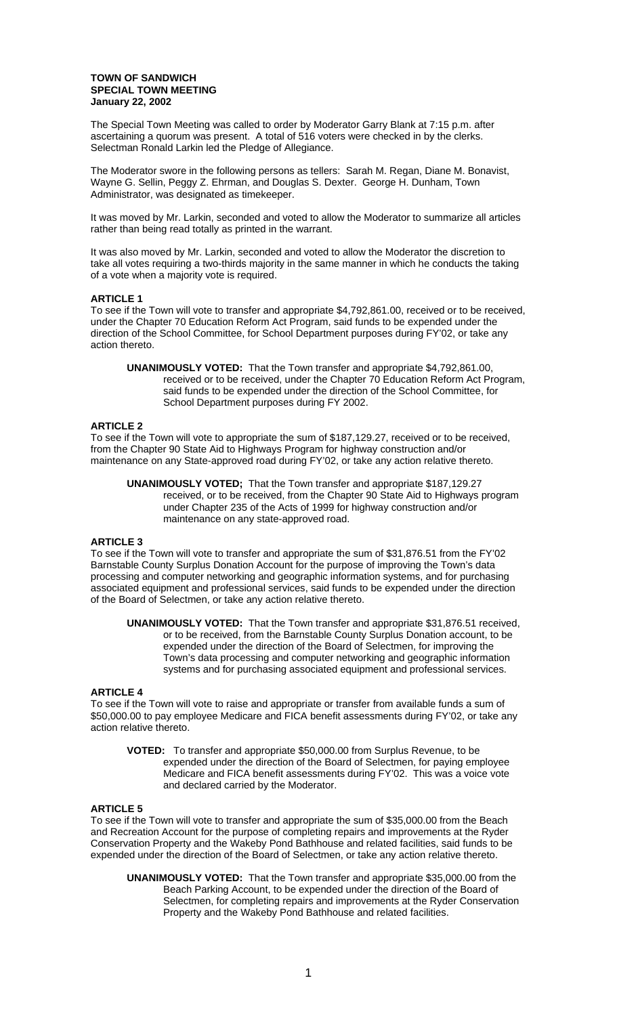### **TOWN OF SANDWICH SPECIAL TOWN MEETING January 22, 2002**

The Special Town Meeting was called to order by Moderator Garry Blank at 7:15 p.m. after ascertaining a quorum was present. A total of 516 voters were checked in by the clerks. Selectman Ronald Larkin led the Pledge of Allegiance.

The Moderator swore in the following persons as tellers: Sarah M. Regan, Diane M. Bonavist, Wayne G. Sellin, Peggy Z. Ehrman, and Douglas S. Dexter. George H. Dunham, Town Administrator, was designated as timekeeper.

It was moved by Mr. Larkin, seconded and voted to allow the Moderator to summarize all articles rather than being read totally as printed in the warrant.

It was also moved by Mr. Larkin, seconded and voted to allow the Moderator the discretion to take all votes requiring a two-thirds majority in the same manner in which he conducts the taking of a vote when a majority vote is required.

# **ARTICLE 1**

To see if the Town will vote to transfer and appropriate \$4,792,861.00, received or to be received, under the Chapter 70 Education Reform Act Program, said funds to be expended under the direction of the School Committee, for School Department purposes during FY'02, or take any action thereto.

**UNANIMOUSLY VOTED:** That the Town transfer and appropriate \$4,792,861.00, received or to be received, under the Chapter 70 Education Reform Act Program, said funds to be expended under the direction of the School Committee, for School Department purposes during FY 2002.

# **ARTICLE 2**

To see if the Town will vote to appropriate the sum of \$187,129.27, received or to be received, from the Chapter 90 State Aid to Highways Program for highway construction and/or maintenance on any State-approved road during FY'02, or take any action relative thereto.

**UNANIMOUSLY VOTED;** That the Town transfer and appropriate \$187,129.27 received, or to be received, from the Chapter 90 State Aid to Highways program under Chapter 235 of the Acts of 1999 for highway construction and/or maintenance on any state-approved road.

### **ARTICLE 3**

To see if the Town will vote to transfer and appropriate the sum of \$31,876.51 from the FY'02 Barnstable County Surplus Donation Account for the purpose of improving the Town's data processing and computer networking and geographic information systems, and for purchasing associated equipment and professional services, said funds to be expended under the direction of the Board of Selectmen, or take any action relative thereto.

**UNANIMOUSLY VOTED:** That the Town transfer and appropriate \$31,876.51 received, or to be received, from the Barnstable County Surplus Donation account, to be expended under the direction of the Board of Selectmen, for improving the Town's data processing and computer networking and geographic information systems and for purchasing associated equipment and professional services.

## **ARTICLE 4**

To see if the Town will vote to raise and appropriate or transfer from available funds a sum of \$50,000.00 to pay employee Medicare and FICA benefit assessments during FY'02, or take any action relative thereto.

**VOTED:** To transfer and appropriate \$50,000.00 from Surplus Revenue, to be expended under the direction of the Board of Selectmen, for paying employee Medicare and FICA benefit assessments during FY'02. This was a voice vote and declared carried by the Moderator.

# **ARTICLE 5**

To see if the Town will vote to transfer and appropriate the sum of \$35,000.00 from the Beach and Recreation Account for the purpose of completing repairs and improvements at the Ryder Conservation Property and the Wakeby Pond Bathhouse and related facilities, said funds to be expended under the direction of the Board of Selectmen, or take any action relative thereto.

**UNANIMOUSLY VOTED:** That the Town transfer and appropriate \$35,000.00 from the Beach Parking Account, to be expended under the direction of the Board of Selectmen, for completing repairs and improvements at the Ryder Conservation Property and the Wakeby Pond Bathhouse and related facilities.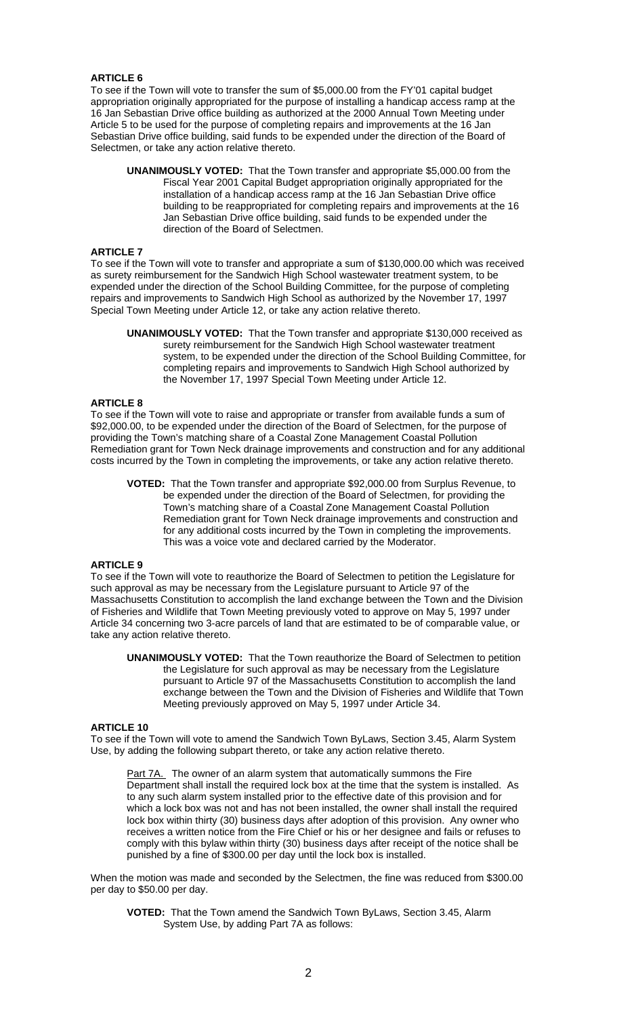# **ARTICLE 6**

To see if the Town will vote to transfer the sum of \$5,000.00 from the FY'01 capital budget appropriation originally appropriated for the purpose of installing a handicap access ramp at the 16 Jan Sebastian Drive office building as authorized at the 2000 Annual Town Meeting under Article 5 to be used for the purpose of completing repairs and improvements at the 16 Jan Sebastian Drive office building, said funds to be expended under the direction of the Board of Selectmen, or take any action relative thereto.

**UNANIMOUSLY VOTED:** That the Town transfer and appropriate \$5,000.00 from the Fiscal Year 2001 Capital Budget appropriation originally appropriated for the installation of a handicap access ramp at the 16 Jan Sebastian Drive office building to be reappropriated for completing repairs and improvements at the 16 Jan Sebastian Drive office building, said funds to be expended under the direction of the Board of Selectmen.

# **ARTICLE 7**

To see if the Town will vote to transfer and appropriate a sum of \$130,000.00 which was received as surety reimbursement for the Sandwich High School wastewater treatment system, to be expended under the direction of the School Building Committee, for the purpose of completing repairs and improvements to Sandwich High School as authorized by the November 17, 1997 Special Town Meeting under Article 12, or take any action relative thereto.

**UNANIMOUSLY VOTED:** That the Town transfer and appropriate \$130,000 received as surety reimbursement for the Sandwich High School wastewater treatment system, to be expended under the direction of the School Building Committee, for completing repairs and improvements to Sandwich High School authorized by the November 17, 1997 Special Town Meeting under Article 12.

### **ARTICLE 8**

To see if the Town will vote to raise and appropriate or transfer from available funds a sum of \$92,000.00, to be expended under the direction of the Board of Selectmen, for the purpose of providing the Town's matching share of a Coastal Zone Management Coastal Pollution Remediation grant for Town Neck drainage improvements and construction and for any additional costs incurred by the Town in completing the improvements, or take any action relative thereto.

**VOTED:** That the Town transfer and appropriate \$92,000.00 from Surplus Revenue, to be expended under the direction of the Board of Selectmen, for providing the Town's matching share of a Coastal Zone Management Coastal Pollution Remediation grant for Town Neck drainage improvements and construction and for any additional costs incurred by the Town in completing the improvements. This was a voice vote and declared carried by the Moderator.

### **ARTICLE 9**

To see if the Town will vote to reauthorize the Board of Selectmen to petition the Legislature for such approval as may be necessary from the Legislature pursuant to Article 97 of the Massachusetts Constitution to accomplish the land exchange between the Town and the Division of Fisheries and Wildlife that Town Meeting previously voted to approve on May 5, 1997 under Article 34 concerning two 3-acre parcels of land that are estimated to be of comparable value, or take any action relative thereto.

**UNANIMOUSLY VOTED:** That the Town reauthorize the Board of Selectmen to petition the Legislature for such approval as may be necessary from the Legislature pursuant to Article 97 of the Massachusetts Constitution to accomplish the land exchange between the Town and the Division of Fisheries and Wildlife that Town Meeting previously approved on May 5, 1997 under Article 34.

### **ARTICLE 10**

To see if the Town will vote to amend the Sandwich Town ByLaws, Section 3.45, Alarm System Use, by adding the following subpart thereto, or take any action relative thereto.

Part 7A. The owner of an alarm system that automatically summons the Fire Department shall install the required lock box at the time that the system is installed. As to any such alarm system installed prior to the effective date of this provision and for which a lock box was not and has not been installed, the owner shall install the required lock box within thirty (30) business days after adoption of this provision. Any owner who receives a written notice from the Fire Chief or his or her designee and fails or refuses to comply with this bylaw within thirty (30) business days after receipt of the notice shall be punished by a fine of \$300.00 per day until the lock box is installed.

When the motion was made and seconded by the Selectmen, the fine was reduced from \$300.00 per day to \$50.00 per day.

**VOTED:** That the Town amend the Sandwich Town ByLaws, Section 3.45, Alarm System Use, by adding Part 7A as follows: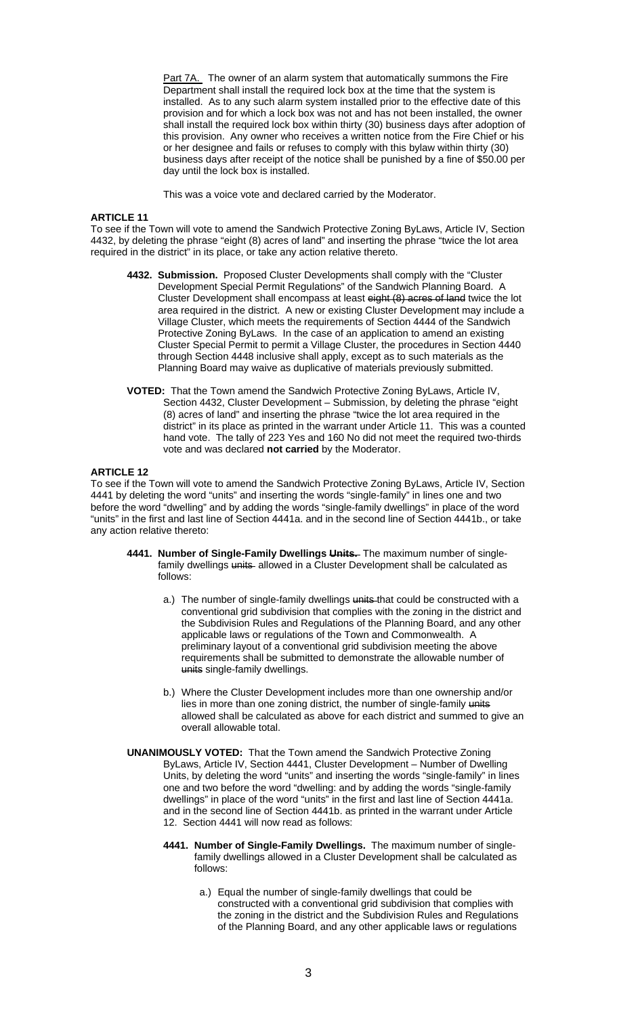Part 7A. The owner of an alarm system that automatically summons the Fire Department shall install the required lock box at the time that the system is installed. As to any such alarm system installed prior to the effective date of this provision and for which a lock box was not and has not been installed, the owner shall install the required lock box within thirty (30) business days after adoption of this provision. Any owner who receives a written notice from the Fire Chief or his or her designee and fails or refuses to comply with this bylaw within thirty (30) business days after receipt of the notice shall be punished by a fine of \$50.00 per day until the lock box is installed.

This was a voice vote and declared carried by the Moderator.

# **ARTICLE 11**

To see if the Town will vote to amend the Sandwich Protective Zoning ByLaws, Article IV, Section 4432, by deleting the phrase "eight (8) acres of land" and inserting the phrase "twice the lot area required in the district" in its place, or take any action relative thereto.

- **4432. Submission.** Proposed Cluster Developments shall comply with the "Cluster Development Special Permit Regulations" of the Sandwich Planning Board. A Cluster Development shall encompass at least eight (8) acres of land twice the lot area required in the district. A new or existing Cluster Development may include a Village Cluster, which meets the requirements of Section 4444 of the Sandwich Protective Zoning ByLaws. In the case of an application to amend an existing Cluster Special Permit to permit a Village Cluster, the procedures in Section 4440 through Section 4448 inclusive shall apply, except as to such materials as the Planning Board may waive as duplicative of materials previously submitted.
- **VOTED:** That the Town amend the Sandwich Protective Zoning ByLaws, Article IV, Section 4432, Cluster Development – Submission, by deleting the phrase "eight (8) acres of land" and inserting the phrase "twice the lot area required in the district" in its place as printed in the warrant under Article 11. This was a counted hand vote. The tally of 223 Yes and 160 No did not meet the required two-thirds vote and was declared **not carried** by the Moderator.

# **ARTICLE 12**

To see if the Town will vote to amend the Sandwich Protective Zoning ByLaws, Article IV, Section 4441 by deleting the word "units" and inserting the words "single-family" in lines one and two before the word "dwelling" and by adding the words "single-family dwellings" in place of the word "units" in the first and last line of Section 4441a. and in the second line of Section 4441b., or take any action relative thereto:

- **4441. Number of Single-Family Dwellings Units.** The maximum number of singlefamily dwellings units allowed in a Cluster Development shall be calculated as follows:
	- a.) The number of single-family dwellings units that could be constructed with a conventional grid subdivision that complies with the zoning in the district and the Subdivision Rules and Regulations of the Planning Board, and any other applicable laws or regulations of the Town and Commonwealth. A preliminary layout of a conventional grid subdivision meeting the above requirements shall be submitted to demonstrate the allowable number of units single-family dwellings.
	- b.) Where the Cluster Development includes more than one ownership and/or lies in more than one zoning district, the number of single-family units allowed shall be calculated as above for each district and summed to give an overall allowable total.
- **UNANIMOUSLY VOTED:** That the Town amend the Sandwich Protective Zoning ByLaws, Article IV, Section 4441, Cluster Development – Number of Dwelling Units, by deleting the word "units" and inserting the words "single-family" in lines one and two before the word "dwelling: and by adding the words "single-family dwellings" in place of the word "units" in the first and last line of Section 4441a. and in the second line of Section 4441b. as printed in the warrant under Article 12. Section 4441 will now read as follows:
	- **4441. Number of Single-Family Dwellings.** The maximum number of singlefamily dwellings allowed in a Cluster Development shall be calculated as follows:
		- a.) Equal the number of single-family dwellings that could be constructed with a conventional grid subdivision that complies with the zoning in the district and the Subdivision Rules and Regulations of the Planning Board, and any other applicable laws or regulations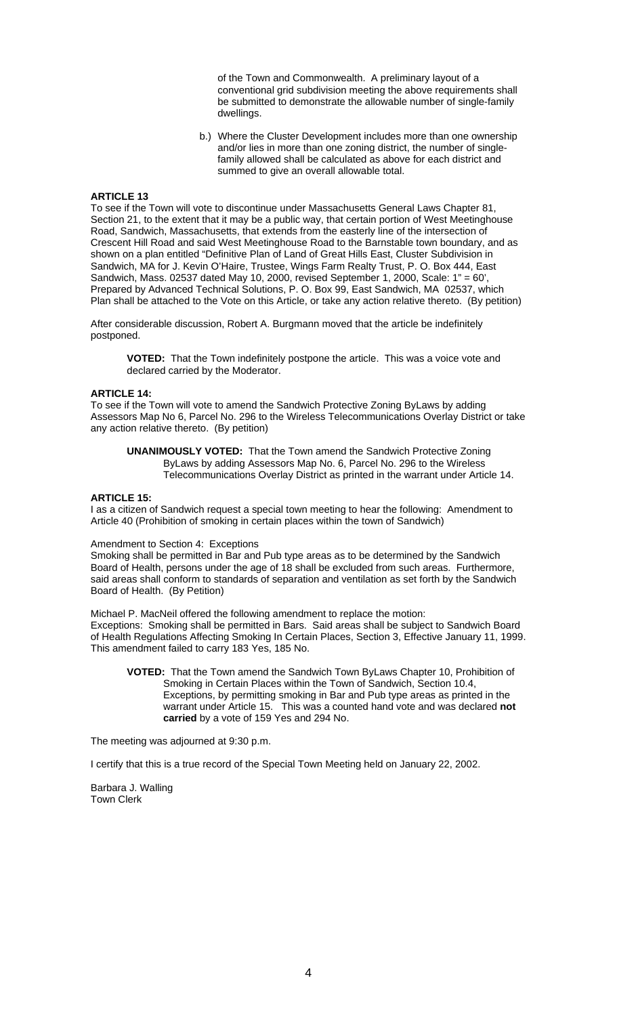of the Town and Commonwealth. A preliminary layout of a conventional grid subdivision meeting the above requirements shall be submitted to demonstrate the allowable number of single-family dwellings.

b.) Where the Cluster Development includes more than one ownership and/or lies in more than one zoning district, the number of singlefamily allowed shall be calculated as above for each district and summed to give an overall allowable total.

### **ARTICLE 13**

To see if the Town will vote to discontinue under Massachusetts General Laws Chapter 81, Section 21, to the extent that it may be a public way, that certain portion of West Meetinghouse Road, Sandwich, Massachusetts, that extends from the easterly line of the intersection of Crescent Hill Road and said West Meetinghouse Road to the Barnstable town boundary, and as shown on a plan entitled "Definitive Plan of Land of Great Hills East, Cluster Subdivision in Sandwich, MA for J. Kevin O'Haire, Trustee, Wings Farm Realty Trust, P. O. Box 444, East Sandwich, Mass. 02537 dated May 10, 2000, revised September 1, 2000, Scale: 1" = 60', Prepared by Advanced Technical Solutions, P. O. Box 99, East Sandwich, MA 02537, which Plan shall be attached to the Vote on this Article, or take any action relative thereto. (By petition)

After considerable discussion, Robert A. Burgmann moved that the article be indefinitely postponed.

**VOTED:** That the Town indefinitely postpone the article. This was a voice vote and declared carried by the Moderator.

### **ARTICLE 14:**

To see if the Town will vote to amend the Sandwich Protective Zoning ByLaws by adding Assessors Map No 6, Parcel No. 296 to the Wireless Telecommunications Overlay District or take any action relative thereto. (By petition)

**UNANIMOUSLY VOTED:** That the Town amend the Sandwich Protective Zoning ByLaws by adding Assessors Map No. 6, Parcel No. 296 to the Wireless Telecommunications Overlay District as printed in the warrant under Article 14.

### **ARTICLE 15:**

I as a citizen of Sandwich request a special town meeting to hear the following: Amendment to Article 40 (Prohibition of smoking in certain places within the town of Sandwich)

### Amendment to Section 4: Exceptions

Smoking shall be permitted in Bar and Pub type areas as to be determined by the Sandwich Board of Health, persons under the age of 18 shall be excluded from such areas. Furthermore, said areas shall conform to standards of separation and ventilation as set forth by the Sandwich Board of Health. (By Petition)

Michael P. MacNeil offered the following amendment to replace the motion: Exceptions: Smoking shall be permitted in Bars. Said areas shall be subject to Sandwich Board of Health Regulations Affecting Smoking In Certain Places, Section 3, Effective January 11, 1999. This amendment failed to carry 183 Yes, 185 No.

**VOTED:** That the Town amend the Sandwich Town ByLaws Chapter 10, Prohibition of Smoking in Certain Places within the Town of Sandwich, Section 10.4, Exceptions, by permitting smoking in Bar and Pub type areas as printed in the warrant under Article 15. This was a counted hand vote and was declared **not carried** by a vote of 159 Yes and 294 No.

The meeting was adjourned at 9:30 p.m.

I certify that this is a true record of the Special Town Meeting held on January 22, 2002.

Barbara J. Walling Town Clerk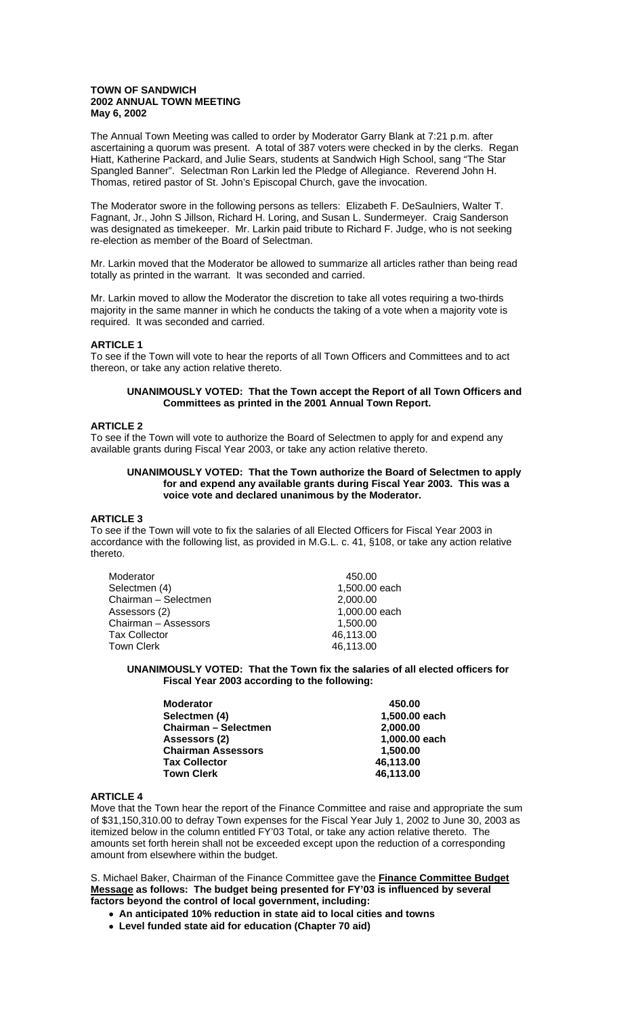### **TOWN OF SANDWICH 2002 ANNUAL TOWN MEETING May 6, 2002**

The Annual Town Meeting was called to order by Moderator Garry Blank at 7:21 p.m. after ascertaining a quorum was present. A total of 387 voters were checked in by the clerks. Regan Hiatt, Katherine Packard, and Julie Sears, students at Sandwich High School, sang "The Star Spangled Banner". Selectman Ron Larkin led the Pledge of Allegiance. Reverend John H. Thomas, retired pastor of St. John's Episcopal Church, gave the invocation.

The Moderator swore in the following persons as tellers: Elizabeth F. DeSaulniers, Walter T. Fagnant, Jr., John S Jillson, Richard H. Loring, and Susan L. Sundermeyer. Craig Sanderson was designated as timekeeper. Mr. Larkin paid tribute to Richard F. Judge, who is not seeking re-election as member of the Board of Selectman.

Mr. Larkin moved that the Moderator be allowed to summarize all articles rather than being read totally as printed in the warrant. It was seconded and carried.

Mr. Larkin moved to allow the Moderator the discretion to take all votes requiring a two-thirds majority in the same manner in which he conducts the taking of a vote when a majority vote is required. It was seconded and carried.

# **ARTICLE 1**

To see if the Town will vote to hear the reports of all Town Officers and Committees and to act thereon, or take any action relative thereto.

# **UNANIMOUSLY VOTED: That the Town accept the Report of all Town Officers and Committees as printed in the 2001 Annual Town Report.**

### **ARTICLE 2**

To see if the Town will vote to authorize the Board of Selectmen to apply for and expend any available grants during Fiscal Year 2003, or take any action relative thereto.

#### **UNANIMOUSLY VOTED: That the Town authorize the Board of Selectmen to apply for and expend any available grants during Fiscal Year 2003. This was a voice vote and declared unanimous by the Moderator.**

### **ARTICLE 3**

To see if the Town will vote to fix the salaries of all Elected Officers for Fiscal Year 2003 in accordance with the following list, as provided in M.G.L. c. 41, §108, or take any action relative thereto.

| 450.00        |
|---------------|
| 1,500.00 each |
| 2,000.00      |
| 1,000.00 each |
| 1,500.00      |
| 46,113.00     |
| 46,113.00     |
|               |

**UNANIMOUSLY VOTED: That the Town fix the salaries of all elected officers for Fiscal Year 2003 according to the following:** 

| <b>Moderator</b>            | 450.00        |
|-----------------------------|---------------|
| Selectmen (4)               | 1,500.00 each |
| <b>Chairman - Selectmen</b> | 2,000.00      |
| Assessors (2)               | 1,000.00 each |
| <b>Chairman Assessors</b>   | 1,500.00      |
| <b>Tax Collector</b>        | 46,113.00     |
| <b>Town Clerk</b>           | 46,113.00     |

### **ARTICLE 4**

Move that the Town hear the report of the Finance Committee and raise and appropriate the sum of \$31,150,310.00 to defray Town expenses for the Fiscal Year July 1, 2002 to June 30, 2003 as itemized below in the column entitled FY'03 Total, or take any action relative thereto. The amounts set forth herein shall not be exceeded except upon the reduction of a corresponding amount from elsewhere within the budget.

S. Michael Baker, Chairman of the Finance Committee gave the **Finance Committee Budget Message as follows: The budget being presented for FY'03 is influenced by several factors beyond the control of local government, including:**

- • **An anticipated 10% reduction in state aid to local cities and towns**
- • **Level funded state aid for education (Chapter 70 aid)**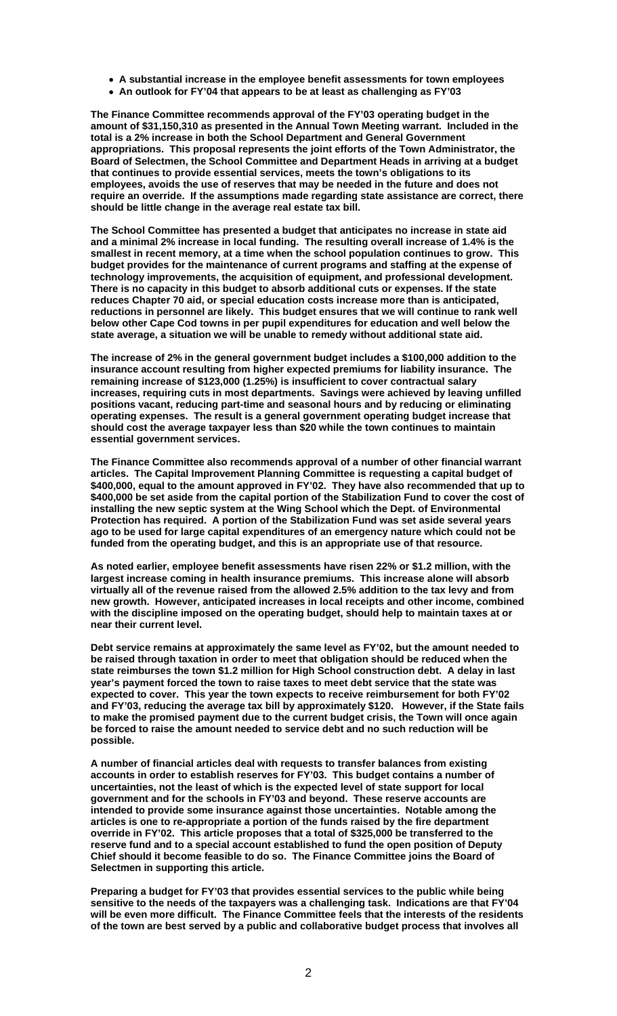- • **A substantial increase in the employee benefit assessments for town employees**
- • **An outlook for FY'04 that appears to be at least as challenging as FY'03**

**The Finance Committee recommends approval of the FY'03 operating budget in the amount of \$31,150,310 as presented in the Annual Town Meeting warrant. Included in the total is a 2% increase in both the School Department and General Government appropriations. This proposal represents the joint efforts of the Town Administrator, the Board of Selectmen, the School Committee and Department Heads in arriving at a budget that continues to provide essential services, meets the town's obligations to its employees, avoids the use of reserves that may be needed in the future and does not require an override. If the assumptions made regarding state assistance are correct, there should be little change in the average real estate tax bill.** 

**The School Committee has presented a budget that anticipates no increase in state aid and a minimal 2% increase in local funding. The resulting overall increase of 1.4% is the smallest in recent memory, at a time when the school population continues to grow. This budget provides for the maintenance of current programs and staffing at the expense of technology improvements, the acquisition of equipment, and professional development. There is no capacity in this budget to absorb additional cuts or expenses. If the state reduces Chapter 70 aid, or special education costs increase more than is anticipated, reductions in personnel are likely. This budget ensures that we will continue to rank well below other Cape Cod towns in per pupil expenditures for education and well below the state average, a situation we will be unable to remedy without additional state aid.** 

**The increase of 2% in the general government budget includes a \$100,000 addition to the insurance account resulting from higher expected premiums for liability insurance. The remaining increase of \$123,000 (1.25%) is insufficient to cover contractual salary increases, requiring cuts in most departments. Savings were achieved by leaving unfilled positions vacant, reducing part-time and seasonal hours and by reducing or eliminating operating expenses. The result is a general government operating budget increase that should cost the average taxpayer less than \$20 while the town continues to maintain essential government services.** 

**The Finance Committee also recommends approval of a number of other financial warrant articles. The Capital Improvement Planning Committee is requesting a capital budget of \$400,000, equal to the amount approved in FY'02. They have also recommended that up to \$400,000 be set aside from the capital portion of the Stabilization Fund to cover the cost of installing the new septic system at the Wing School which the Dept. of Environmental Protection has required. A portion of the Stabilization Fund was set aside several years ago to be used for large capital expenditures of an emergency nature which could not be funded from the operating budget, and this is an appropriate use of that resource.** 

**As noted earlier, employee benefit assessments have risen 22% or \$1.2 million, with the largest increase coming in health insurance premiums. This increase alone will absorb virtually all of the revenue raised from the allowed 2.5% addition to the tax levy and from new growth. However, anticipated increases in local receipts and other income, combined with the discipline imposed on the operating budget, should help to maintain taxes at or near their current level.** 

**Debt service remains at approximately the same level as FY'02, but the amount needed to be raised through taxation in order to meet that obligation should be reduced when the state reimburses the town \$1.2 million for High School construction debt. A delay in last year's payment forced the town to raise taxes to meet debt service that the state was expected to cover. This year the town expects to receive reimbursement for both FY'02 and FY'03, reducing the average tax bill by approximately \$120. However, if the State fails to make the promised payment due to the current budget crisis, the Town will once again be forced to raise the amount needed to service debt and no such reduction will be possible.** 

**A number of financial articles deal with requests to transfer balances from existing accounts in order to establish reserves for FY'03. This budget contains a number of uncertainties, not the least of which is the expected level of state support for local government and for the schools in FY'03 and beyond. These reserve accounts are intended to provide some insurance against those uncertainties. Notable among the articles is one to re-appropriate a portion of the funds raised by the fire department override in FY'02. This article proposes that a total of \$325,000 be transferred to the reserve fund and to a special account established to fund the open position of Deputy Chief should it become feasible to do so. The Finance Committee joins the Board of Selectmen in supporting this article.** 

**Preparing a budget for FY'03 that provides essential services to the public while being sensitive to the needs of the taxpayers was a challenging task. Indications are that FY'04 will be even more difficult. The Finance Committee feels that the interests of the residents of the town are best served by a public and collaborative budget process that involves all**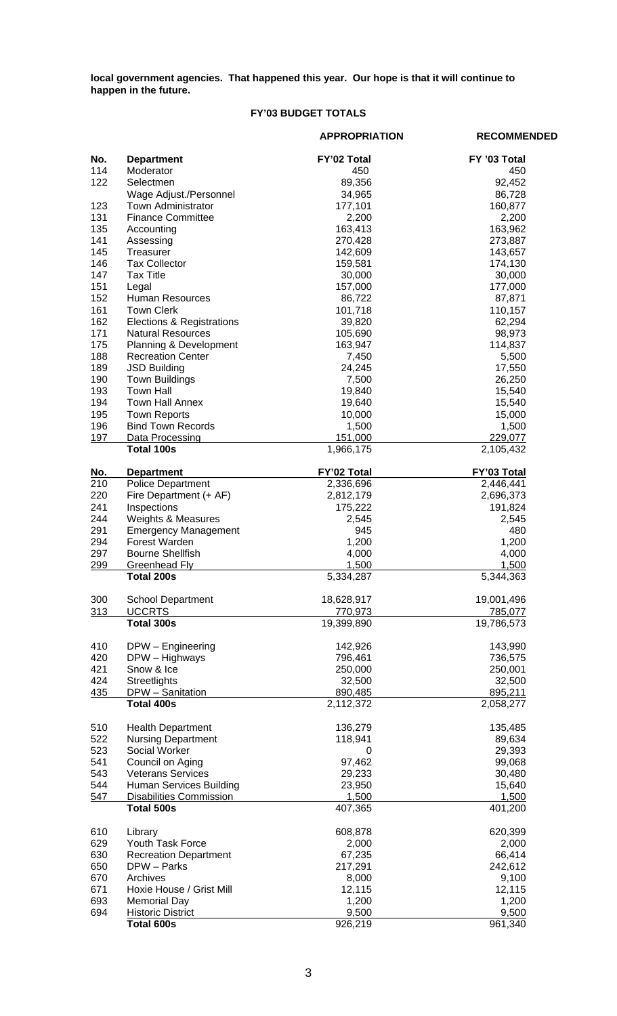**local government agencies. That happened this year. Our hope is that it will continue to happen in the future.** 

# **FY'03 BUDGET TOTALS**

|                  |                                      | <b>APPROPRIATION</b> | <b>RECOMMENDED</b>              |
|------------------|--------------------------------------|----------------------|---------------------------------|
| No.              | <b>Department</b>                    | FY'02 Total          | FY '03 Total                    |
| 114              | Moderator                            | 450                  | 450                             |
| 122              | Selectmen                            | 89,356               | 92,452                          |
|                  | Wage Adjust./Personnel               | 34,965               | 86,728                          |
| 123              | <b>Town Administrator</b>            | 177,101              | 160,877                         |
| 131              | <b>Finance Committee</b>             | 2,200                | 2,200                           |
| 135              | Accounting                           | 163,413              | 163,962                         |
| 141              | Assessing                            | 270,428              | 273,887                         |
| 145              | Treasurer                            | 142,609              | 143,657                         |
| 146              | <b>Tax Collector</b>                 | 159,581              | 174,130                         |
| 147              | <b>Tax Title</b>                     | 30,000               | 30,000                          |
| 151<br>152       | Legal                                | 157,000              | 177,000                         |
| 161              | Human Resources<br><b>Town Clerk</b> | 86,722<br>101,718    | 87,871                          |
| 162              | Elections & Registrations            | 39,820               | 110,157<br>62,294               |
| 171              | <b>Natural Resources</b>             | 105,690              | 98,973                          |
| 175              | Planning & Development               | 163,947              | 114,837                         |
| 188              | <b>Recreation Center</b>             | 7,450                | 5,500                           |
| 189              | <b>JSD Building</b>                  | 24,245               | 17,550                          |
| 190              | <b>Town Buildings</b>                | 7,500                | 26,250                          |
| 193              | <b>Town Hall</b>                     | 19,840               | 15,540                          |
| 194              | <b>Town Hall Annex</b>               | 19,640               | 15,540                          |
| 195              | <b>Town Reports</b>                  | 10,000               | 15,000                          |
| 196              | <b>Bind Town Records</b>             | 1,500                | 1,500                           |
| 197              | Data Processing                      | 151,000              | 229,077                         |
|                  | <b>Total 100s</b>                    | 1,966,175            | 2,105,432                       |
| <u>No.</u>       | <b>Department</b>                    | FY'02 Total          | FY'03 Total                     |
| $\overline{210}$ | <b>Police Department</b>             | 2,336,696            | 2,446,441                       |
| 220              | Fire Department (+ AF)               | 2,812,179            | 2,696,373                       |
| 241              | Inspections                          | 175,222              | 191,824                         |
| 244              | Weights & Measures                   | 2,545                | 2,545                           |
| 291              | <b>Emergency Management</b>          | 945                  | 480                             |
| 294              | Forest Warden                        | 1,200                | 1,200                           |
| 297              | <b>Bourne Shellfish</b>              | 4,000                | 4,000                           |
| 299              | <b>Greenhead Fly</b><br>Total 200s   | 1,500<br>5,334,287   | 1,500<br>$\overline{5,}344,363$ |
|                  |                                      |                      |                                 |
| 300              | <b>School Department</b>             | 18,628,917           | 19,001,496                      |
| 313              | <b>UCCRTS</b><br>Total 300s          | 770,973              | 785,077                         |
|                  |                                      | 19,399,890           | 19,786,573                      |
| 410              | DPW - Engineering                    | 142,926              | 143,990                         |
| 420              | DPW - Highways                       | 796,461              | 736,575                         |
| 421              | Snow & Ice                           | 250,000              | 250,001                         |
| 424              | Streetlights                         | 32,500               | 32,500                          |
| <u>435</u>       | DPW - Sanitation                     | 890,485              | 895,211                         |
|                  | Total 400s                           | 2,112,372            | 2,058,277                       |
| 510              | <b>Health Department</b>             | 136,279              | 135,485                         |
| 522              | <b>Nursing Department</b>            | 118,941              | 89,634                          |
| 523              | Social Worker                        | $\mathbf 0$          | 29,393                          |
| 541              | Council on Aging                     | 97,462               | 99,068                          |
| 543              | <b>Veterans Services</b>             | 29,233               | 30,480                          |
| 544              | Human Services Building              | 23,950               | 15,640                          |
| 547              | <b>Disabilities Commission</b>       | 1,500                | 1,500                           |
|                  | Total 500s                           | 407,365              | 401,200                         |
| 610              | Library                              | 608,878              | 620,399                         |
| 629              | Youth Task Force                     | 2,000                | 2,000                           |
| 630              | <b>Recreation Department</b>         | 67,235               | 66,414                          |
| 650              | DPW - Parks                          | 217,291              | 242,612                         |
| 670              | Archives                             | 8,000                | 9,100                           |
| 671              | Hoxie House / Grist Mill             | 12,115               | 12,115                          |
| 693              | <b>Memorial Day</b>                  | 1,200                | 1,200                           |
| 694              | <b>Historic District</b>             | 9,500                | 9,500                           |
|                  | Total 600s                           | 926,219              | 961,340                         |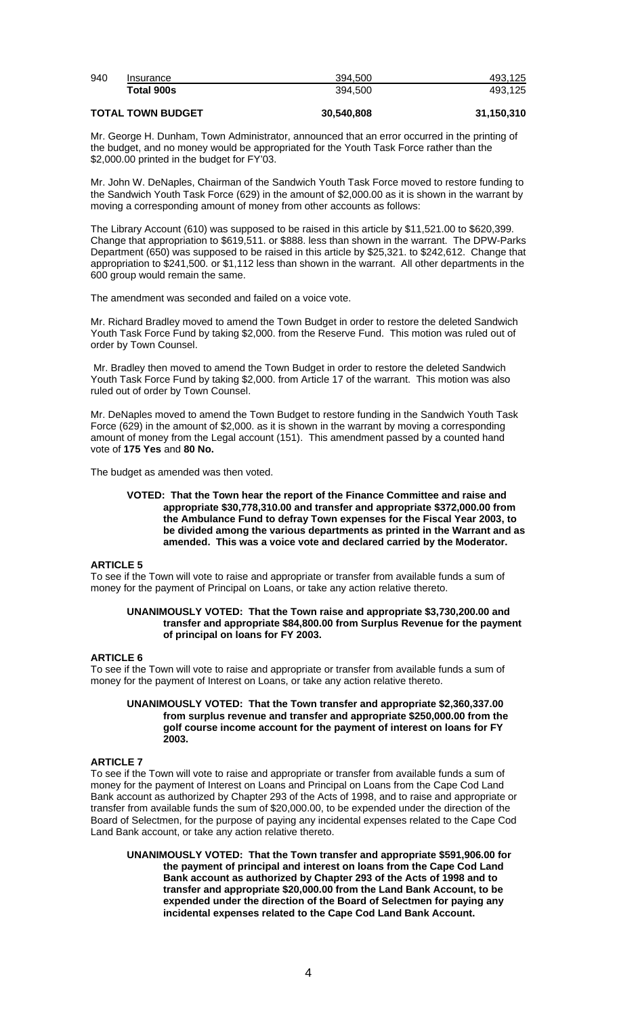| 940 | Insurance  | 394.500 | 493.125 |
|-----|------------|---------|---------|
|     | Total 900s | 394.500 | 493.125 |
|     |            |         |         |

# **TOTAL TOWN BUDGET 30,540,808 31,150,310**

Mr. George H. Dunham, Town Administrator, announced that an error occurred in the printing of the budget, and no money would be appropriated for the Youth Task Force rather than the \$2,000.00 printed in the budget for FY'03.

Mr. John W. DeNaples, Chairman of the Sandwich Youth Task Force moved to restore funding to the Sandwich Youth Task Force (629) in the amount of \$2,000.00 as it is shown in the warrant by moving a corresponding amount of money from other accounts as follows:

The Library Account (610) was supposed to be raised in this article by \$11,521.00 to \$620,399. Change that appropriation to \$619,511. or \$888. less than shown in the warrant. The DPW-Parks Department (650) was supposed to be raised in this article by \$25,321. to \$242,612. Change that appropriation to \$241,500. or \$1,112 less than shown in the warrant. All other departments in the 600 group would remain the same.

The amendment was seconded and failed on a voice vote.

Mr. Richard Bradley moved to amend the Town Budget in order to restore the deleted Sandwich Youth Task Force Fund by taking \$2,000. from the Reserve Fund. This motion was ruled out of order by Town Counsel.

 Mr. Bradley then moved to amend the Town Budget in order to restore the deleted Sandwich Youth Task Force Fund by taking \$2,000. from Article 17 of the warrant. This motion was also ruled out of order by Town Counsel.

Mr. DeNaples moved to amend the Town Budget to restore funding in the Sandwich Youth Task Force (629) in the amount of \$2,000. as it is shown in the warrant by moving a corresponding amount of money from the Legal account (151). This amendment passed by a counted hand vote of **175 Yes** and **80 No.**

The budget as amended was then voted.

### **VOTED: That the Town hear the report of the Finance Committee and raise and appropriate \$30,778,310.00 and transfer and appropriate \$372,000.00 from the Ambulance Fund to defray Town expenses for the Fiscal Year 2003, to be divided among the various departments as printed in the Warrant and as amended. This was a voice vote and declared carried by the Moderator.**

# **ARTICLE 5**

To see if the Town will vote to raise and appropriate or transfer from available funds a sum of money for the payment of Principal on Loans, or take any action relative thereto.

### **UNANIMOUSLY VOTED: That the Town raise and appropriate \$3,730,200.00 and transfer and appropriate \$84,800.00 from Surplus Revenue for the payment of principal on loans for FY 2003.**

# **ARTICLE 6**

To see if the Town will vote to raise and appropriate or transfer from available funds a sum of money for the payment of Interest on Loans, or take any action relative thereto.

#### **UNANIMOUSLY VOTED: That the Town transfer and appropriate \$2,360,337.00 from surplus revenue and transfer and appropriate \$250,000.00 from the golf course income account for the payment of interest on loans for FY 2003.**

# **ARTICLE 7**

To see if the Town will vote to raise and appropriate or transfer from available funds a sum of money for the payment of Interest on Loans and Principal on Loans from the Cape Cod Land Bank account as authorized by Chapter 293 of the Acts of 1998, and to raise and appropriate or transfer from available funds the sum of \$20,000.00, to be expended under the direction of the Board of Selectmen, for the purpose of paying any incidental expenses related to the Cape Cod Land Bank account, or take any action relative thereto.

**UNANIMOUSLY VOTED: That the Town transfer and appropriate \$591,906.00 for the payment of principal and interest on loans from the Cape Cod Land Bank account as authorized by Chapter 293 of the Acts of 1998 and to transfer and appropriate \$20,000.00 from the Land Bank Account, to be expended under the direction of the Board of Selectmen for paying any incidental expenses related to the Cape Cod Land Bank Account.**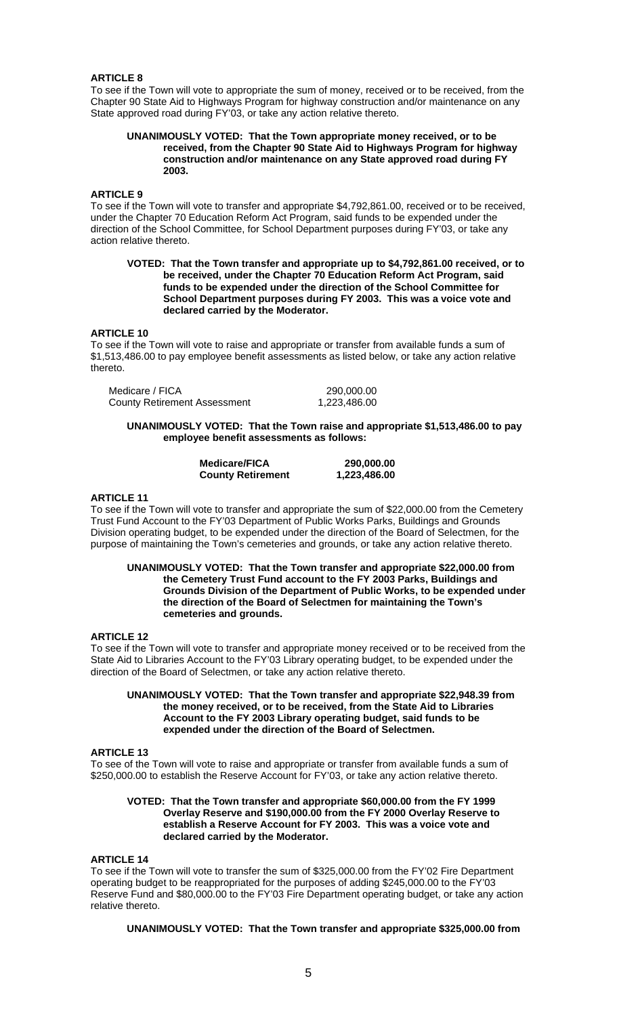## **ARTICLE 8**

To see if the Town will vote to appropriate the sum of money, received or to be received, from the Chapter 90 State Aid to Highways Program for highway construction and/or maintenance on any State approved road during FY'03, or take any action relative thereto.

#### **UNANIMOUSLY VOTED: That the Town appropriate money received, or to be received, from the Chapter 90 State Aid to Highways Program for highway construction and/or maintenance on any State approved road during FY 2003.**

### **ARTICLE 9**

To see if the Town will vote to transfer and appropriate \$4,792,861.00, received or to be received, under the Chapter 70 Education Reform Act Program, said funds to be expended under the direction of the School Committee, for School Department purposes during FY'03, or take any action relative thereto.

#### **VOTED: That the Town transfer and appropriate up to \$4,792,861.00 received, or to be received, under the Chapter 70 Education Reform Act Program, said funds to be expended under the direction of the School Committee for School Department purposes during FY 2003. This was a voice vote and declared carried by the Moderator.**

# **ARTICLE 10**

To see if the Town will vote to raise and appropriate or transfer from available funds a sum of \$1,513,486.00 to pay employee benefit assessments as listed below, or take any action relative thereto.

| Medicare / FICA                     | 290,000.00   |
|-------------------------------------|--------------|
| <b>County Retirement Assessment</b> | 1,223,486.00 |

### **UNANIMOUSLY VOTED: That the Town raise and appropriate \$1,513,486.00 to pay employee benefit assessments as follows:**

| <b>Medicare/FICA</b>     | 290,000.00   |
|--------------------------|--------------|
| <b>County Retirement</b> | 1,223,486.00 |

# **ARTICLE 11**

To see if the Town will vote to transfer and appropriate the sum of \$22,000.00 from the Cemetery Trust Fund Account to the FY'03 Department of Public Works Parks, Buildings and Grounds Division operating budget, to be expended under the direction of the Board of Selectmen, for the purpose of maintaining the Town's cemeteries and grounds, or take any action relative thereto.

**UNANIMOUSLY VOTED: That the Town transfer and appropriate \$22,000.00 from the Cemetery Trust Fund account to the FY 2003 Parks, Buildings and Grounds Division of the Department of Public Works, to be expended under the direction of the Board of Selectmen for maintaining the Town's cemeteries and grounds.** 

# **ARTICLE 12**

To see if the Town will vote to transfer and appropriate money received or to be received from the State Aid to Libraries Account to the FY'03 Library operating budget, to be expended under the direction of the Board of Selectmen, or take any action relative thereto.

### **UNANIMOUSLY VOTED: That the Town transfer and appropriate \$22,948.39 from the money received, or to be received, from the State Aid to Libraries Account to the FY 2003 Library operating budget, said funds to be expended under the direction of the Board of Selectmen.**

### **ARTICLE 13**

To see of the Town will vote to raise and appropriate or transfer from available funds a sum of \$250,000.00 to establish the Reserve Account for FY'03, or take any action relative thereto.

### **VOTED: That the Town transfer and appropriate \$60,000.00 from the FY 1999 Overlay Reserve and \$190,000.00 from the FY 2000 Overlay Reserve to establish a Reserve Account for FY 2003. This was a voice vote and declared carried by the Moderator.**

### **ARTICLE 14**

To see if the Town will vote to transfer the sum of \$325,000.00 from the FY'02 Fire Department operating budget to be reappropriated for the purposes of adding \$245,000.00 to the FY'03 Reserve Fund and \$80,000.00 to the FY'03 Fire Department operating budget, or take any action relative thereto.

**UNANIMOUSLY VOTED: That the Town transfer and appropriate \$325,000.00 from**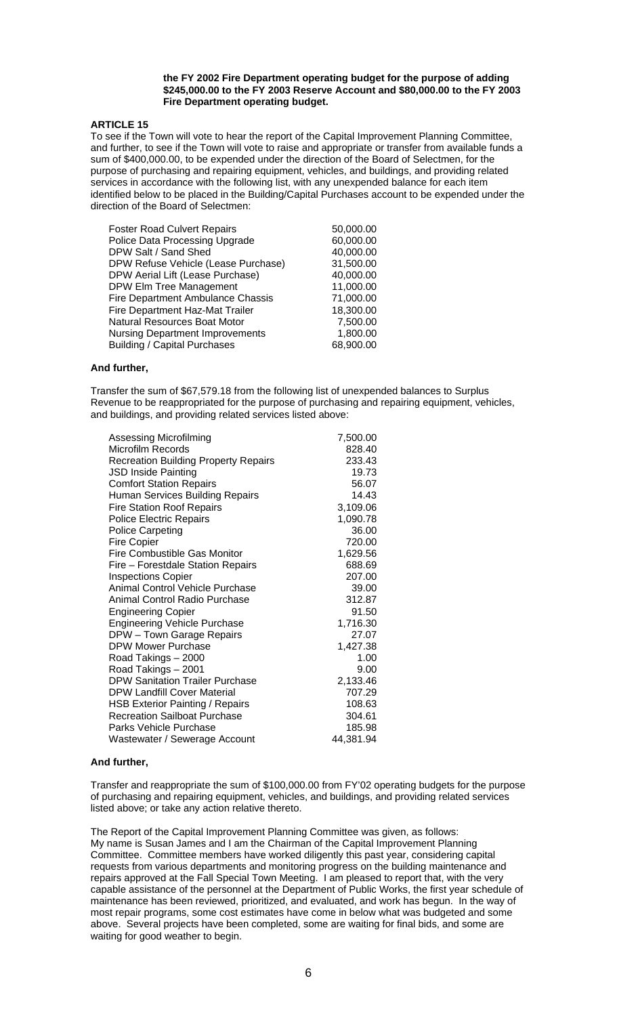#### **the FY 2002 Fire Department operating budget for the purpose of adding \$245,000.00 to the FY 2003 Reserve Account and \$80,000.00 to the FY 2003 Fire Department operating budget.**

### **ARTICLE 15**

To see if the Town will vote to hear the report of the Capital Improvement Planning Committee, and further, to see if the Town will vote to raise and appropriate or transfer from available funds a sum of \$400,000.00, to be expended under the direction of the Board of Selectmen, for the purpose of purchasing and repairing equipment, vehicles, and buildings, and providing related services in accordance with the following list, with any unexpended balance for each item identified below to be placed in the Building/Capital Purchases account to be expended under the direction of the Board of Selectmen:

| <b>Foster Road Culvert Repairs</b>     | 50,000.00 |
|----------------------------------------|-----------|
| Police Data Processing Upgrade         | 60,000.00 |
| DPW Salt / Sand Shed                   | 40,000.00 |
| DPW Refuse Vehicle (Lease Purchase)    | 31,500.00 |
| DPW Aerial Lift (Lease Purchase)       | 40,000.00 |
| DPW Elm Tree Management                | 11,000.00 |
| Fire Department Ambulance Chassis      | 71,000.00 |
| Fire Department Haz-Mat Trailer        | 18,300.00 |
| Natural Resources Boat Motor           | 7,500.00  |
| <b>Nursing Department Improvements</b> | 1,800.00  |
| <b>Building / Capital Purchases</b>    | 68,900.00 |

# **And further,**

Transfer the sum of \$67,579.18 from the following list of unexpended balances to Surplus Revenue to be reappropriated for the purpose of purchasing and repairing equipment, vehicles, and buildings, and providing related services listed above:

| Assessing Microfilming                      | 7,500.00  |
|---------------------------------------------|-----------|
| Microfilm Records                           | 828.40    |
| <b>Recreation Building Property Repairs</b> | 233.43    |
| <b>JSD Inside Painting</b>                  | 19.73     |
| <b>Comfort Station Repairs</b>              | 56.07     |
| Human Services Building Repairs             | 14.43     |
| <b>Fire Station Roof Repairs</b>            | 3,109.06  |
| <b>Police Electric Repairs</b>              | 1,090.78  |
| <b>Police Carpeting</b>                     | 36.00     |
| <b>Fire Copier</b>                          | 720.00    |
| Fire Combustible Gas Monitor                | 1,629.56  |
| Fire - Forestdale Station Repairs           | 688.69    |
| <b>Inspections Copier</b>                   | 207.00    |
| <b>Animal Control Vehicle Purchase</b>      | 39.00     |
| Animal Control Radio Purchase               | 312.87    |
| <b>Engineering Copier</b>                   | 91.50     |
| <b>Engineering Vehicle Purchase</b>         | 1,716.30  |
| DPW - Town Garage Repairs                   | 27.07     |
| DPW Mower Purchase                          | 1,427.38  |
| Road Takings - 2000                         | 1.00      |
| Road Takings - 2001                         | 9.00      |
| <b>DPW Sanitation Trailer Purchase</b>      | 2,133.46  |
| <b>DPW Landfill Cover Material</b>          | 707.29    |
| <b>HSB Exterior Painting / Repairs</b>      | 108.63    |
| <b>Recreation Sailboat Purchase</b>         | 304.61    |
| Parks Vehicle Purchase                      | 185.98    |
| Wastewater / Sewerage Account               | 44,381.94 |

### **And further,**

Transfer and reappropriate the sum of \$100,000.00 from FY'02 operating budgets for the purpose of purchasing and repairing equipment, vehicles, and buildings, and providing related services listed above; or take any action relative thereto.

The Report of the Capital Improvement Planning Committee was given, as follows: My name is Susan James and I am the Chairman of the Capital Improvement Planning Committee. Committee members have worked diligently this past year, considering capital requests from various departments and monitoring progress on the building maintenance and repairs approved at the Fall Special Town Meeting. I am pleased to report that, with the very capable assistance of the personnel at the Department of Public Works, the first year schedule of maintenance has been reviewed, prioritized, and evaluated, and work has begun. In the way of most repair programs, some cost estimates have come in below what was budgeted and some above. Several projects have been completed, some are waiting for final bids, and some are waiting for good weather to begin.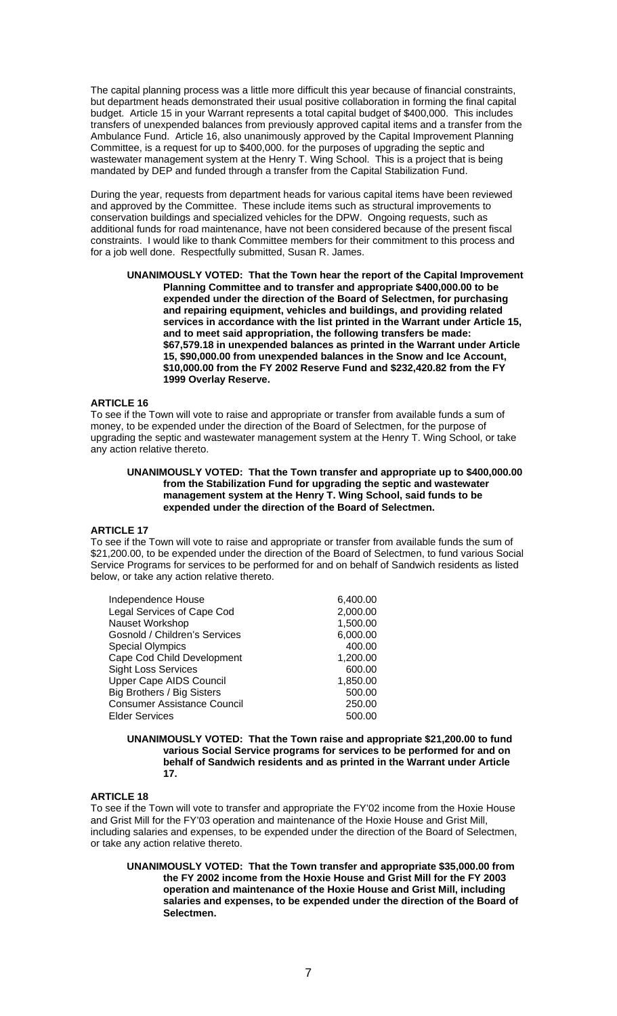The capital planning process was a little more difficult this year because of financial constraints, but department heads demonstrated their usual positive collaboration in forming the final capital budget. Article 15 in your Warrant represents a total capital budget of \$400,000. This includes transfers of unexpended balances from previously approved capital items and a transfer from the Ambulance Fund. Article 16, also unanimously approved by the Capital Improvement Planning Committee, is a request for up to \$400,000. for the purposes of upgrading the septic and wastewater management system at the Henry T. Wing School. This is a project that is being mandated by DEP and funded through a transfer from the Capital Stabilization Fund.

During the year, requests from department heads for various capital items have been reviewed and approved by the Committee. These include items such as structural improvements to conservation buildings and specialized vehicles for the DPW. Ongoing requests, such as additional funds for road maintenance, have not been considered because of the present fiscal constraints. I would like to thank Committee members for their commitment to this process and for a job well done. Respectfully submitted, Susan R. James.

 **UNANIMOUSLY VOTED: That the Town hear the report of the Capital Improvement Planning Committee and to transfer and appropriate \$400,000.00 to be expended under the direction of the Board of Selectmen, for purchasing and repairing equipment, vehicles and buildings, and providing related services in accordance with the list printed in the Warrant under Article 15, and to meet said appropriation, the following transfers be made: \$67,579.18 in unexpended balances as printed in the Warrant under Article 15, \$90,000.00 from unexpended balances in the Snow and Ice Account, \$10,000.00 from the FY 2002 Reserve Fund and \$232,420.82 from the FY 1999 Overlay Reserve.** 

### **ARTICLE 16**

To see if the Town will vote to raise and appropriate or transfer from available funds a sum of money, to be expended under the direction of the Board of Selectmen, for the purpose of upgrading the septic and wastewater management system at the Henry T. Wing School, or take any action relative thereto.

### **UNANIMOUSLY VOTED: That the Town transfer and appropriate up to \$400,000.00 from the Stabilization Fund for upgrading the septic and wastewater management system at the Henry T. Wing School, said funds to be expended under the direction of the Board of Selectmen.**

# **ARTICLE 17**

To see if the Town will vote to raise and appropriate or transfer from available funds the sum of \$21,200.00, to be expended under the direction of the Board of Selectmen, to fund various Social Service Programs for services to be performed for and on behalf of Sandwich residents as listed below, or take any action relative thereto.

| Independence House                 | 6,400.00 |
|------------------------------------|----------|
| Legal Services of Cape Cod         | 2,000.00 |
| Nauset Workshop                    | 1,500.00 |
| Gosnold / Children's Services      | 6,000.00 |
| <b>Special Olympics</b>            | 400.00   |
| Cape Cod Child Development         | 1,200.00 |
| <b>Sight Loss Services</b>         | 600.00   |
| <b>Upper Cape AIDS Council</b>     | 1,850.00 |
| Big Brothers / Big Sisters         | 500.00   |
| <b>Consumer Assistance Council</b> | 250.00   |
| <b>Elder Services</b>              | 500.00   |

 **UNANIMOUSLY VOTED: That the Town raise and appropriate \$21,200.00 to fund various Social Service programs for services to be performed for and on behalf of Sandwich residents and as printed in the Warrant under Article 17.** 

### **ARTICLE 18**

To see if the Town will vote to transfer and appropriate the FY'02 income from the Hoxie House and Grist Mill for the FY'03 operation and maintenance of the Hoxie House and Grist Mill, including salaries and expenses, to be expended under the direction of the Board of Selectmen, or take any action relative thereto.

**UNANIMOUSLY VOTED: That the Town transfer and appropriate \$35,000.00 from the FY 2002 income from the Hoxie House and Grist Mill for the FY 2003 operation and maintenance of the Hoxie House and Grist Mill, including salaries and expenses, to be expended under the direction of the Board of Selectmen.**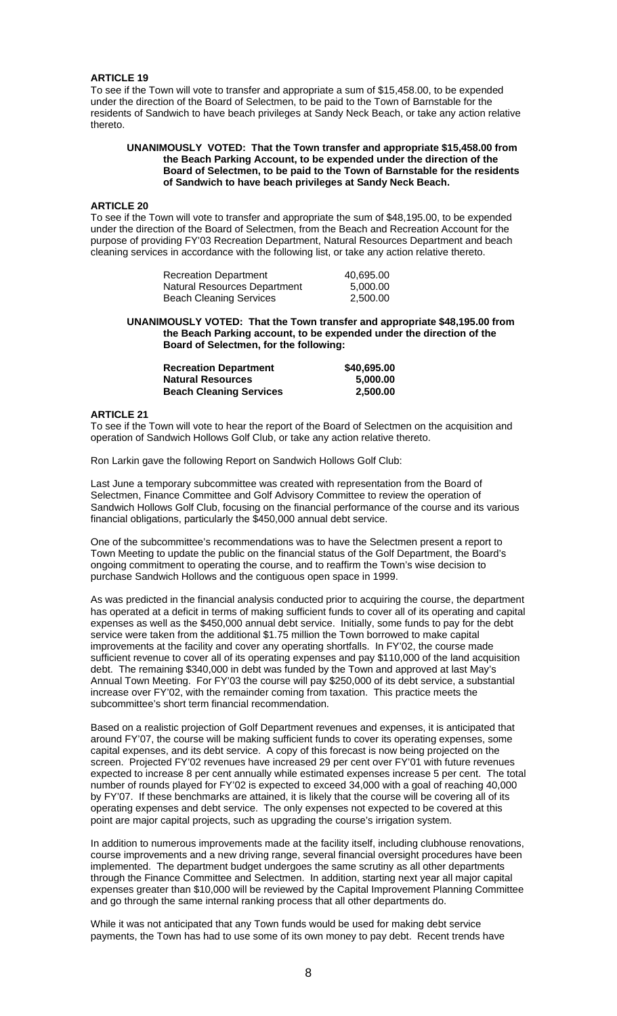### **ARTICLE 19**

To see if the Town will vote to transfer and appropriate a sum of \$15,458.00, to be expended under the direction of the Board of Selectmen, to be paid to the Town of Barnstable for the residents of Sandwich to have beach privileges at Sandy Neck Beach, or take any action relative thereto.

### **UNANIMOUSLY VOTED: That the Town transfer and appropriate \$15,458.00 from the Beach Parking Account, to be expended under the direction of the Board of Selectmen, to be paid to the Town of Barnstable for the residents of Sandwich to have beach privileges at Sandy Neck Beach.**

#### **ARTICLE 20**

To see if the Town will vote to transfer and appropriate the sum of \$48,195.00, to be expended under the direction of the Board of Selectmen, from the Beach and Recreation Account for the purpose of providing FY'03 Recreation Department, Natural Resources Department and beach cleaning services in accordance with the following list, or take any action relative thereto.

| <b>Recreation Department</b>        | 40,695.00 |
|-------------------------------------|-----------|
| <b>Natural Resources Department</b> | 5.000.00  |
| <b>Beach Cleaning Services</b>      | 2,500.00  |

**UNANIMOUSLY VOTED: That the Town transfer and appropriate \$48,195.00 from the Beach Parking account, to be expended under the direction of the Board of Selectmen, for the following:** 

| <b>Recreation Department</b>   | \$40,695.00 |
|--------------------------------|-------------|
| <b>Natural Resources</b>       | 5.000.00    |
| <b>Beach Cleaning Services</b> | 2.500.00    |

# **ARTICLE 21**

To see if the Town will vote to hear the report of the Board of Selectmen on the acquisition and operation of Sandwich Hollows Golf Club, or take any action relative thereto.

Ron Larkin gave the following Report on Sandwich Hollows Golf Club:

Last June a temporary subcommittee was created with representation from the Board of Selectmen, Finance Committee and Golf Advisory Committee to review the operation of Sandwich Hollows Golf Club, focusing on the financial performance of the course and its various financial obligations, particularly the \$450,000 annual debt service.

One of the subcommittee's recommendations was to have the Selectmen present a report to Town Meeting to update the public on the financial status of the Golf Department, the Board's ongoing commitment to operating the course, and to reaffirm the Town's wise decision to purchase Sandwich Hollows and the contiguous open space in 1999.

As was predicted in the financial analysis conducted prior to acquiring the course, the department has operated at a deficit in terms of making sufficient funds to cover all of its operating and capital expenses as well as the \$450,000 annual debt service. Initially, some funds to pay for the debt service were taken from the additional \$1.75 million the Town borrowed to make capital improvements at the facility and cover any operating shortfalls. In FY'02, the course made sufficient revenue to cover all of its operating expenses and pay \$110,000 of the land acquisition debt. The remaining \$340,000 in debt was funded by the Town and approved at last May's Annual Town Meeting. For FY'03 the course will pay \$250,000 of its debt service, a substantial increase over FY'02, with the remainder coming from taxation. This practice meets the subcommittee's short term financial recommendation.

Based on a realistic projection of Golf Department revenues and expenses, it is anticipated that around FY'07, the course will be making sufficient funds to cover its operating expenses, some capital expenses, and its debt service. A copy of this forecast is now being projected on the screen. Projected FY'02 revenues have increased 29 per cent over FY'01 with future revenues expected to increase 8 per cent annually while estimated expenses increase 5 per cent. The total number of rounds played for FY'02 is expected to exceed 34,000 with a goal of reaching 40,000 by FY'07. If these benchmarks are attained, it is likely that the course will be covering all of its operating expenses and debt service. The only expenses not expected to be covered at this point are major capital projects, such as upgrading the course's irrigation system.

In addition to numerous improvements made at the facility itself, including clubhouse renovations, course improvements and a new driving range, several financial oversight procedures have been implemented. The department budget undergoes the same scrutiny as all other departments through the Finance Committee and Selectmen. In addition, starting next year all major capital expenses greater than \$10,000 will be reviewed by the Capital Improvement Planning Committee and go through the same internal ranking process that all other departments do.

While it was not anticipated that any Town funds would be used for making debt service payments, the Town has had to use some of its own money to pay debt. Recent trends have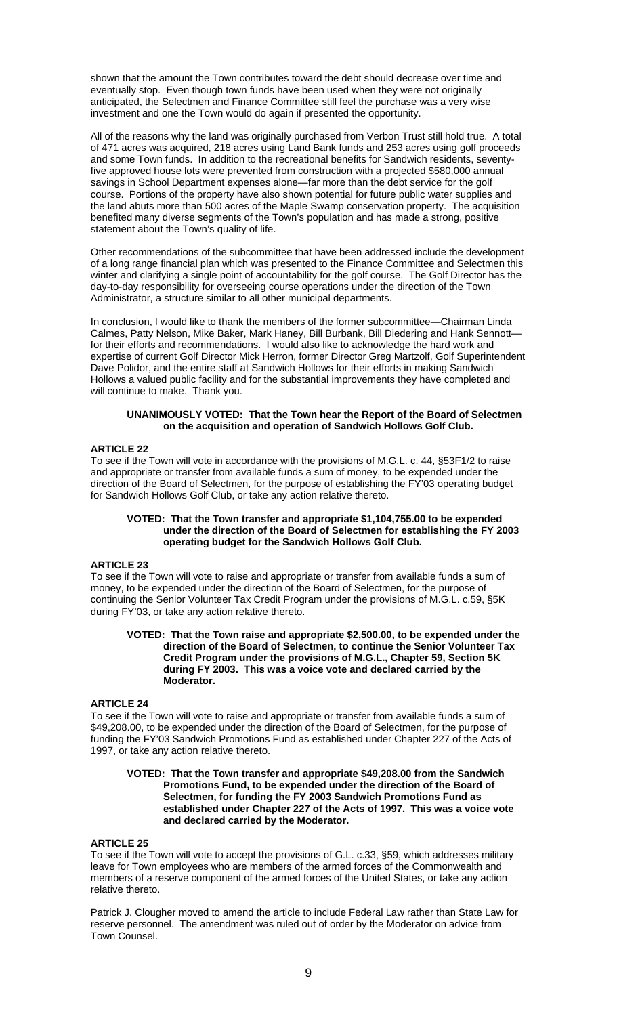shown that the amount the Town contributes toward the debt should decrease over time and eventually stop. Even though town funds have been used when they were not originally anticipated, the Selectmen and Finance Committee still feel the purchase was a very wise investment and one the Town would do again if presented the opportunity.

All of the reasons why the land was originally purchased from Verbon Trust still hold true. A total of 471 acres was acquired, 218 acres using Land Bank funds and 253 acres using golf proceeds and some Town funds. In addition to the recreational benefits for Sandwich residents, seventyfive approved house lots were prevented from construction with a projected \$580,000 annual savings in School Department expenses alone—far more than the debt service for the golf course. Portions of the property have also shown potential for future public water supplies and the land abuts more than 500 acres of the Maple Swamp conservation property. The acquisition benefited many diverse segments of the Town's population and has made a strong, positive statement about the Town's quality of life.

Other recommendations of the subcommittee that have been addressed include the development of a long range financial plan which was presented to the Finance Committee and Selectmen this winter and clarifying a single point of accountability for the golf course. The Golf Director has the day-to-day responsibility for overseeing course operations under the direction of the Town Administrator, a structure similar to all other municipal departments.

In conclusion, I would like to thank the members of the former subcommittee—Chairman Linda Calmes, Patty Nelson, Mike Baker, Mark Haney, Bill Burbank, Bill Diedering and Hank Sennott for their efforts and recommendations. I would also like to acknowledge the hard work and expertise of current Golf Director Mick Herron, former Director Greg Martzolf, Golf Superintendent Dave Polidor, and the entire staff at Sandwich Hollows for their efforts in making Sandwich Hollows a valued public facility and for the substantial improvements they have completed and will continue to make. Thank you.

### **UNANIMOUSLY VOTED: That the Town hear the Report of the Board of Selectmen on the acquisition and operation of Sandwich Hollows Golf Club.**

# **ARTICLE 22**

To see if the Town will vote in accordance with the provisions of M.G.L. c. 44, §53F1/2 to raise and appropriate or transfer from available funds a sum of money, to be expended under the direction of the Board of Selectmen, for the purpose of establishing the FY'03 operating budget for Sandwich Hollows Golf Club, or take any action relative thereto.

### **VOTED: That the Town transfer and appropriate \$1,104,755.00 to be expended under the direction of the Board of Selectmen for establishing the FY 2003 operating budget for the Sandwich Hollows Golf Club.**

#### **ARTICLE 23**

To see if the Town will vote to raise and appropriate or transfer from available funds a sum of money, to be expended under the direction of the Board of Selectmen, for the purpose of continuing the Senior Volunteer Tax Credit Program under the provisions of M.G.L. c.59, §5K during FY'03, or take any action relative thereto.

### **VOTED: That the Town raise and appropriate \$2,500.00, to be expended under the direction of the Board of Selectmen, to continue the Senior Volunteer Tax Credit Program under the provisions of M.G.L., Chapter 59, Section 5K during FY 2003. This was a voice vote and declared carried by the Moderator.**

# **ARTICLE 24**

To see if the Town will vote to raise and appropriate or transfer from available funds a sum of \$49,208.00, to be expended under the direction of the Board of Selectmen, for the purpose of funding the FY'03 Sandwich Promotions Fund as established under Chapter 227 of the Acts of 1997, or take any action relative thereto.

### **VOTED: That the Town transfer and appropriate \$49,208.00 from the Sandwich Promotions Fund, to be expended under the direction of the Board of Selectmen, for funding the FY 2003 Sandwich Promotions Fund as established under Chapter 227 of the Acts of 1997. This was a voice vote and declared carried by the Moderator.**

### **ARTICLE 25**

To see if the Town will vote to accept the provisions of G.L. c.33, §59, which addresses military leave for Town employees who are members of the armed forces of the Commonwealth and members of a reserve component of the armed forces of the United States, or take any action relative thereto.

Patrick J. Clougher moved to amend the article to include Federal Law rather than State Law for reserve personnel. The amendment was ruled out of order by the Moderator on advice from Town Counsel.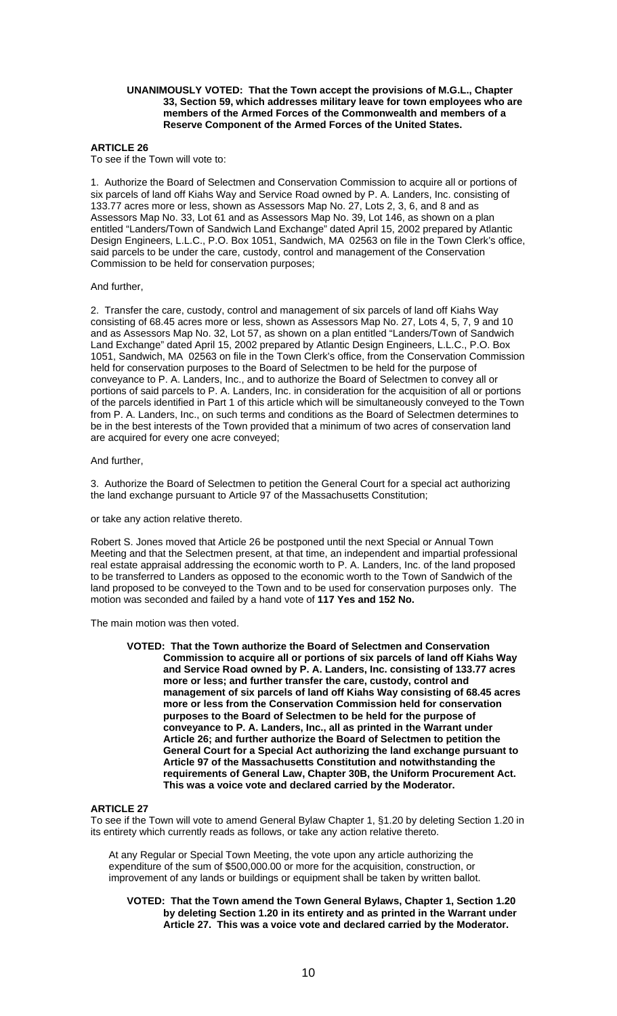#### **UNANIMOUSLY VOTED: That the Town accept the provisions of M.G.L., Chapter 33, Section 59, which addresses military leave for town employees who are members of the Armed Forces of the Commonwealth and members of a Reserve Component of the Armed Forces of the United States.**

# **ARTICLE 26**

To see if the Town will vote to:

1. Authorize the Board of Selectmen and Conservation Commission to acquire all or portions of six parcels of land off Kiahs Way and Service Road owned by P. A. Landers, Inc. consisting of 133.77 acres more or less, shown as Assessors Map No. 27, Lots 2, 3, 6, and 8 and as Assessors Map No. 33, Lot 61 and as Assessors Map No. 39, Lot 146, as shown on a plan entitled "Landers/Town of Sandwich Land Exchange" dated April 15, 2002 prepared by Atlantic Design Engineers, L.L.C., P.O. Box 1051, Sandwich, MA 02563 on file in the Town Clerk's office, said parcels to be under the care, custody, control and management of the Conservation Commission to be held for conservation purposes;

### And further,

2. Transfer the care, custody, control and management of six parcels of land off Kiahs Way consisting of 68.45 acres more or less, shown as Assessors Map No. 27, Lots 4, 5, 7, 9 and 10 and as Assessors Map No. 32, Lot 57, as shown on a plan entitled "Landers/Town of Sandwich Land Exchange" dated April 15, 2002 prepared by Atlantic Design Engineers, L.L.C., P.O. Box 1051, Sandwich, MA 02563 on file in the Town Clerk's office, from the Conservation Commission held for conservation purposes to the Board of Selectmen to be held for the purpose of conveyance to P. A. Landers, Inc., and to authorize the Board of Selectmen to convey all or portions of said parcels to P. A. Landers, Inc. in consideration for the acquisition of all or portions of the parcels identified in Part 1 of this article which will be simultaneously conveyed to the Town from P. A. Landers, Inc., on such terms and conditions as the Board of Selectmen determines to be in the best interests of the Town provided that a minimum of two acres of conservation land are acquired for every one acre conveyed;

# And further,

3. Authorize the Board of Selectmen to petition the General Court for a special act authorizing the land exchange pursuant to Article 97 of the Massachusetts Constitution;

or take any action relative thereto.

Robert S. Jones moved that Article 26 be postponed until the next Special or Annual Town Meeting and that the Selectmen present, at that time, an independent and impartial professional real estate appraisal addressing the economic worth to P. A. Landers, Inc. of the land proposed to be transferred to Landers as opposed to the economic worth to the Town of Sandwich of the land proposed to be conveyed to the Town and to be used for conservation purposes only. The motion was seconded and failed by a hand vote of **117 Yes and 152 No.** 

The main motion was then voted.

**VOTED: That the Town authorize the Board of Selectmen and Conservation Commission to acquire all or portions of six parcels of land off Kiahs Way and Service Road owned by P. A. Landers, Inc. consisting of 133.77 acres more or less; and further transfer the care, custody, control and management of six parcels of land off Kiahs Way consisting of 68.45 acres more or less from the Conservation Commission held for conservation purposes to the Board of Selectmen to be held for the purpose of conveyance to P. A. Landers, Inc., all as printed in the Warrant under Article 26; and further authorize the Board of Selectmen to petition the General Court for a Special Act authorizing the land exchange pursuant to Article 97 of the Massachusetts Constitution and notwithstanding the requirements of General Law, Chapter 30B, the Uniform Procurement Act. This was a voice vote and declared carried by the Moderator.** 

# **ARTICLE 27**

To see if the Town will vote to amend General Bylaw Chapter 1, §1.20 by deleting Section 1.20 in its entirety which currently reads as follows, or take any action relative thereto.

At any Regular or Special Town Meeting, the vote upon any article authorizing the expenditure of the sum of \$500,000.00 or more for the acquisition, construction, or improvement of any lands or buildings or equipment shall be taken by written ballot.

**VOTED: That the Town amend the Town General Bylaws, Chapter 1, Section 1.20 by deleting Section 1.20 in its entirety and as printed in the Warrant under Article 27. This was a voice vote and declared carried by the Moderator.**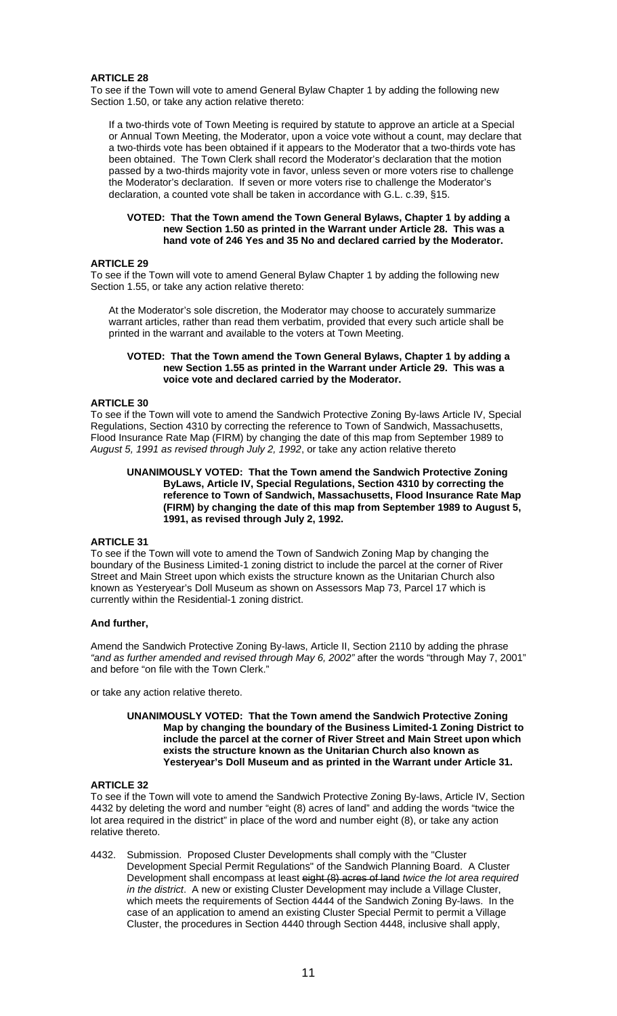# **ARTICLE 28**

To see if the Town will vote to amend General Bylaw Chapter 1 by adding the following new Section 1.50, or take any action relative thereto:

If a two-thirds vote of Town Meeting is required by statute to approve an article at a Special or Annual Town Meeting, the Moderator, upon a voice vote without a count, may declare that a two-thirds vote has been obtained if it appears to the Moderator that a two-thirds vote has been obtained. The Town Clerk shall record the Moderator's declaration that the motion passed by a two-thirds majority vote in favor, unless seven or more voters rise to challenge the Moderator's declaration. If seven or more voters rise to challenge the Moderator's declaration, a counted vote shall be taken in accordance with G.L. c.39, §15.

### **VOTED: That the Town amend the Town General Bylaws, Chapter 1 by adding a new Section 1.50 as printed in the Warrant under Article 28. This was a hand vote of 246 Yes and 35 No and declared carried by the Moderator.**

### **ARTICLE 29**

To see if the Town will vote to amend General Bylaw Chapter 1 by adding the following new Section 1.55, or take any action relative thereto:

At the Moderator's sole discretion, the Moderator may choose to accurately summarize warrant articles, rather than read them verbatim, provided that every such article shall be printed in the warrant and available to the voters at Town Meeting.

### **VOTED: That the Town amend the Town General Bylaws, Chapter 1 by adding a new Section 1.55 as printed in the Warrant under Article 29. This was a voice vote and declared carried by the Moderator.**

# **ARTICLE 30**

To see if the Town will vote to amend the Sandwich Protective Zoning By-laws Article IV, Special Regulations, Section 4310 by correcting the reference to Town of Sandwich, Massachusetts, Flood Insurance Rate Map (FIRM) by changing the date of this map from September 1989 to *August 5, 1991 as revised through July 2, 1992*, or take any action relative thereto

### **UNANIMOUSLY VOTED: That the Town amend the Sandwich Protective Zoning ByLaws, Article IV, Special Regulations, Section 4310 by correcting the reference to Town of Sandwich, Massachusetts, Flood Insurance Rate Map (FIRM) by changing the date of this map from September 1989 to August 5, 1991, as revised through July 2, 1992.**

### **ARTICLE 31**

To see if the Town will vote to amend the Town of Sandwich Zoning Map by changing the boundary of the Business Limited-1 zoning district to include the parcel at the corner of River Street and Main Street upon which exists the structure known as the Unitarian Church also known as Yesteryear's Doll Museum as shown on Assessors Map 73, Parcel 17 which is currently within the Residential-1 zoning district.

### **And further,**

Amend the Sandwich Protective Zoning By-laws, Article II, Section 2110 by adding the phrase *"and as further amended and revised through May 6, 2002"* after the words "through May 7, 2001" and before "on file with the Town Clerk."

or take any action relative thereto.

### **UNANIMOUSLY VOTED: That the Town amend the Sandwich Protective Zoning Map by changing the boundary of the Business Limited-1 Zoning District to include the parcel at the corner of River Street and Main Street upon which exists the structure known as the Unitarian Church also known as Yesteryear's Doll Museum and as printed in the Warrant under Article 31.**

# **ARTICLE 32**

To see if the Town will vote to amend the Sandwich Protective Zoning By-laws, Article IV, Section 4432 by deleting the word and number "eight (8) acres of land" and adding the words "twice the lot area required in the district" in place of the word and number eight (8), or take any action relative thereto.

4432. Submission. Proposed Cluster Developments shall comply with the "Cluster Development Special Permit Regulations" of the Sandwich Planning Board. A Cluster Development shall encompass at least eight (8) acres of land *twice the lot area required in the district*. A new or existing Cluster Development may include a Village Cluster, which meets the requirements of Section 4444 of the Sandwich Zoning By-laws. In the case of an application to amend an existing Cluster Special Permit to permit a Village Cluster, the procedures in Section 4440 through Section 4448, inclusive shall apply,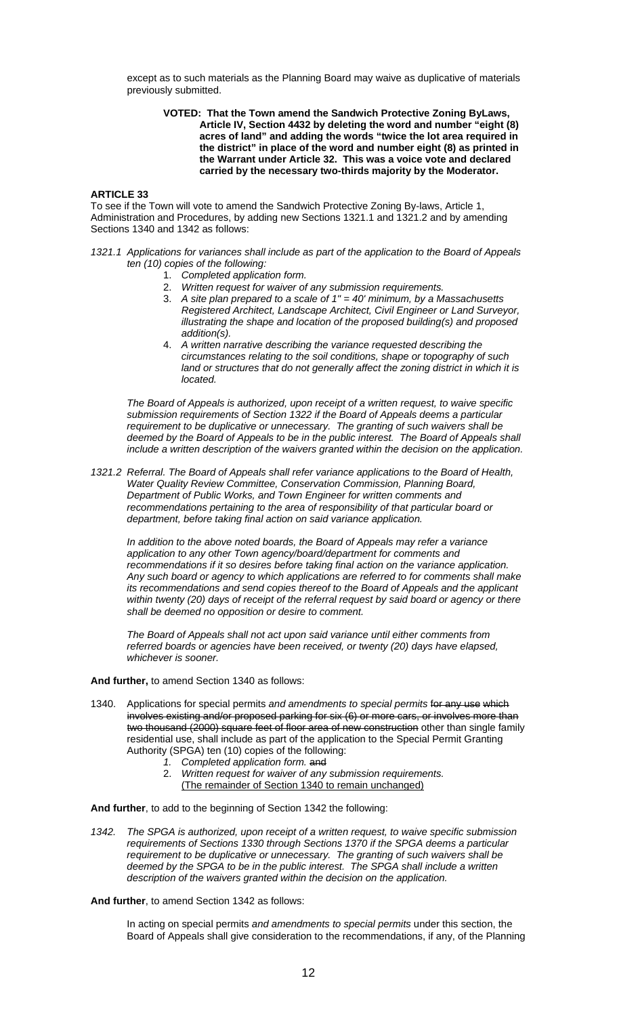except as to such materials as the Planning Board may waive as duplicative of materials previously submitted.

### **VOTED: That the Town amend the Sandwich Protective Zoning ByLaws, Article IV, Section 4432 by deleting the word and number "eight (8) acres of land" and adding the words "twice the lot area required in the district" in place of the word and number eight (8) as printed in the Warrant under Article 32. This was a voice vote and declared carried by the necessary two-thirds majority by the Moderator.**

# **ARTICLE 33**

To see if the Town will vote to amend the Sandwich Protective Zoning By-laws, Article 1, Administration and Procedures, by adding new Sections 1321.1 and 1321.2 and by amending Sections 1340 and 1342 as follows:

- *1321.1 Applications for variances shall include as part of the application to the Board of Appeals ten (10) copies of the following:* 
	- 1. *Completed application form.*
	- 2. *Written request for waiver of any submission requirements.*
	- 3. *A site plan prepared to a scale of 1" = 40' minimum, by a Massachusetts Registered Architect, Landscape Architect, Civil Engineer or Land Surveyor, illustrating the shape and location of the proposed building(s) and proposed addition(s).*
	- 4. *A written narrative describing the variance requested describing the circumstances relating to the soil conditions, shape or topography of such*  land or structures that do not generally affect the zoning district in which it is *located.*

*The Board of Appeals is authorized, upon receipt of a written request, to waive specific submission requirements of Section 1322 if the Board of Appeals deems a particular requirement to be duplicative or unnecessary. The granting of such waivers shall be deemed by the Board of Appeals to be in the public interest. The Board of Appeals shall include a written description of the waivers granted within the decision on the application.* 

*1321.2 Referral. The Board of Appeals shall refer variance applications to the Board of Health, Water Quality Review Committee, Conservation Commission, Planning Board, Department of Public Works, and Town Engineer for written comments and recommendations pertaining to the area of responsibility of that particular board or department, before taking final action on said variance application.* 

*In addition to the above noted boards, the Board of Appeals may refer a variance application to any other Town agency/board/department for comments and recommendations if it so desires before taking final action on the variance application. Any such board or agency to which applications are referred to for comments shall make its recommendations and send copies thereof to the Board of Appeals and the applicant within twenty (20) days of receipt of the referral request by said board or agency or there shall be deemed no opposition or desire to comment.* 

*The Board of Appeals shall not act upon said variance until either comments from referred boards or agencies have been received, or twenty (20) days have elapsed, whichever is sooner.*

### **And further,** to amend Section 1340 as follows:

- 1340. Applications for special permits *and amendments to special permits* for any use which involves existing and/or proposed parking for six (6) or more cars, or involves more than two thousand (2000) square feet of floor area of new construction other than single family residential use, shall include as part of the application to the Special Permit Granting Authority (SPGA) ten (10) copies of the following:
	- *1. Completed application form.* and
	- 2. *Written request for waiver of any submission requirements.* (The remainder of Section 1340 to remain unchanged)

**And further**, to add to the beginning of Section 1342 the following:

*1342. The SPGA is authorized, upon receipt of a written request, to waive specific submission requirements of Sections 1330 through Sections 1370 if the SPGA deems a particular requirement to be duplicative or unnecessary. The granting of such waivers shall be deemed by the SPGA to be in the public interest. The SPGA shall include a written description of the waivers granted within the decision on the application.* 

# **And further**, to amend Section 1342 as follows:

In acting on special permits *and amendments to special permits* under this section, the Board of Appeals shall give consideration to the recommendations, if any, of the Planning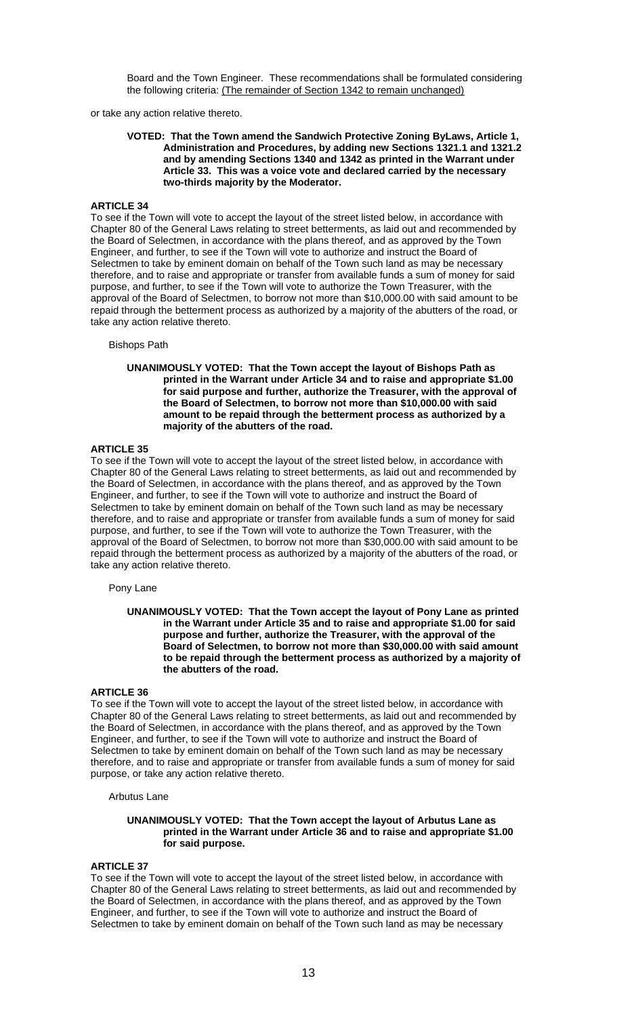Board and the Town Engineer. These recommendations shall be formulated considering the following criteria: (The remainder of Section 1342 to remain unchanged)

or take any action relative thereto.

#### **VOTED: That the Town amend the Sandwich Protective Zoning ByLaws, Article 1, Administration and Procedures, by adding new Sections 1321.1 and 1321.2 and by amending Sections 1340 and 1342 as printed in the Warrant under Article 33. This was a voice vote and declared carried by the necessary two-thirds majority by the Moderator.**

#### **ARTICLE 34**

To see if the Town will vote to accept the layout of the street listed below, in accordance with Chapter 80 of the General Laws relating to street betterments, as laid out and recommended by the Board of Selectmen, in accordance with the plans thereof, and as approved by the Town Engineer, and further, to see if the Town will vote to authorize and instruct the Board of Selectmen to take by eminent domain on behalf of the Town such land as may be necessary therefore, and to raise and appropriate or transfer from available funds a sum of money for said purpose, and further, to see if the Town will vote to authorize the Town Treasurer, with the approval of the Board of Selectmen, to borrow not more than \$10,000.00 with said amount to be repaid through the betterment process as authorized by a majority of the abutters of the road, or take any action relative thereto.

#### Bishops Path

#### **UNANIMOUSLY VOTED: That the Town accept the layout of Bishops Path as printed in the Warrant under Article 34 and to raise and appropriate \$1.00 for said purpose and further, authorize the Treasurer, with the approval of the Board of Selectmen, to borrow not more than \$10,000.00 with said amount to be repaid through the betterment process as authorized by a majority of the abutters of the road.**

# **ARTICLE 35**

To see if the Town will vote to accept the layout of the street listed below, in accordance with Chapter 80 of the General Laws relating to street betterments, as laid out and recommended by the Board of Selectmen, in accordance with the plans thereof, and as approved by the Town Engineer, and further, to see if the Town will vote to authorize and instruct the Board of Selectmen to take by eminent domain on behalf of the Town such land as may be necessary therefore, and to raise and appropriate or transfer from available funds a sum of money for said purpose, and further, to see if the Town will vote to authorize the Town Treasurer, with the approval of the Board of Selectmen, to borrow not more than \$30,000.00 with said amount to be repaid through the betterment process as authorized by a majority of the abutters of the road, or take any action relative thereto.

#### Pony Lane

#### **UNANIMOUSLY VOTED: That the Town accept the layout of Pony Lane as printed in the Warrant under Article 35 and to raise and appropriate \$1.00 for said purpose and further, authorize the Treasurer, with the approval of the Board of Selectmen, to borrow not more than \$30,000.00 with said amount to be repaid through the betterment process as authorized by a majority of the abutters of the road.**

### **ARTICLE 36**

To see if the Town will vote to accept the layout of the street listed below, in accordance with Chapter 80 of the General Laws relating to street betterments, as laid out and recommended by the Board of Selectmen, in accordance with the plans thereof, and as approved by the Town Engineer, and further, to see if the Town will vote to authorize and instruct the Board of Selectmen to take by eminent domain on behalf of the Town such land as may be necessary therefore, and to raise and appropriate or transfer from available funds a sum of money for said purpose, or take any action relative thereto.

#### Arbutus Lane

#### **UNANIMOUSLY VOTED: That the Town accept the layout of Arbutus Lane as printed in the Warrant under Article 36 and to raise and appropriate \$1.00 for said purpose.**

#### **ARTICLE 37**

To see if the Town will vote to accept the layout of the street listed below, in accordance with Chapter 80 of the General Laws relating to street betterments, as laid out and recommended by the Board of Selectmen, in accordance with the plans thereof, and as approved by the Town Engineer, and further, to see if the Town will vote to authorize and instruct the Board of Selectmen to take by eminent domain on behalf of the Town such land as may be necessary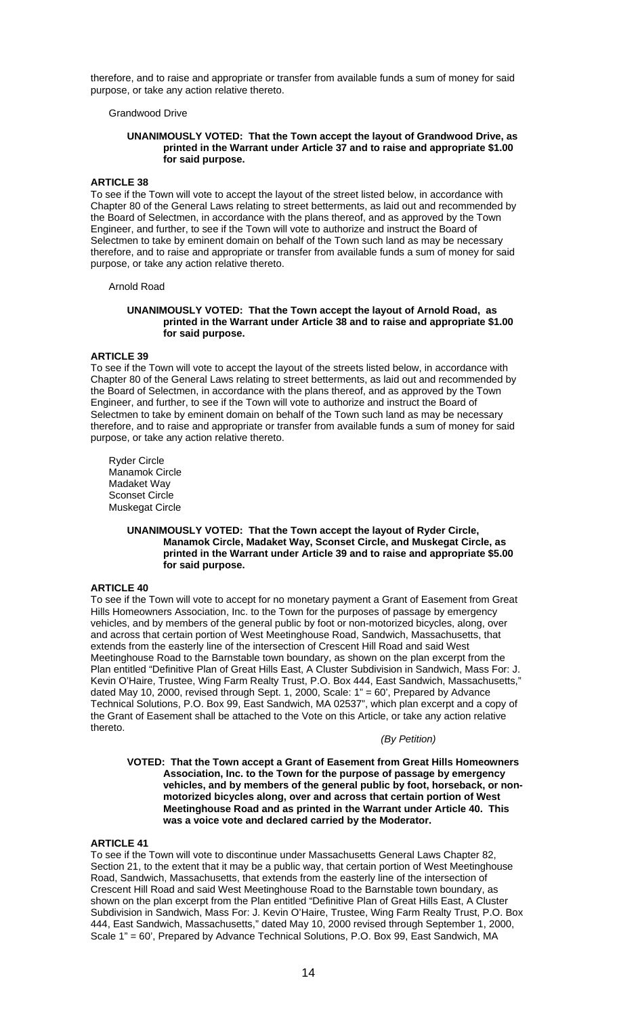therefore, and to raise and appropriate or transfer from available funds a sum of money for said purpose, or take any action relative thereto.

Grandwood Drive

### **UNANIMOUSLY VOTED: That the Town accept the layout of Grandwood Drive, as printed in the Warrant under Article 37 and to raise and appropriate \$1.00 for said purpose.**

# **ARTICLE 38**

To see if the Town will vote to accept the layout of the street listed below, in accordance with Chapter 80 of the General Laws relating to street betterments, as laid out and recommended by the Board of Selectmen, in accordance with the plans thereof, and as approved by the Town Engineer, and further, to see if the Town will vote to authorize and instruct the Board of Selectmen to take by eminent domain on behalf of the Town such land as may be necessary therefore, and to raise and appropriate or transfer from available funds a sum of money for said purpose, or take any action relative thereto.

Arnold Road

### **UNANIMOUSLY VOTED: That the Town accept the layout of Arnold Road, as printed in the Warrant under Article 38 and to raise and appropriate \$1.00 for said purpose.**

# **ARTICLE 39**

To see if the Town will vote to accept the layout of the streets listed below, in accordance with Chapter 80 of the General Laws relating to street betterments, as laid out and recommended by the Board of Selectmen, in accordance with the plans thereof, and as approved by the Town Engineer, and further, to see if the Town will vote to authorize and instruct the Board of Selectmen to take by eminent domain on behalf of the Town such land as may be necessary therefore, and to raise and appropriate or transfer from available funds a sum of money for said purpose, or take any action relative thereto.

 Ryder Circle Manamok Circle Madaket Way Sconset Circle Muskegat Circle

### **UNANIMOUSLY VOTED: That the Town accept the layout of Ryder Circle, Manamok Circle, Madaket Way, Sconset Circle, and Muskegat Circle, as printed in the Warrant under Article 39 and to raise and appropriate \$5.00 for said purpose.**

### **ARTICLE 40**

To see if the Town will vote to accept for no monetary payment a Grant of Easement from Great Hills Homeowners Association, Inc. to the Town for the purposes of passage by emergency vehicles, and by members of the general public by foot or non-motorized bicycles, along, over and across that certain portion of West Meetinghouse Road, Sandwich, Massachusetts, that extends from the easterly line of the intersection of Crescent Hill Road and said West Meetinghouse Road to the Barnstable town boundary, as shown on the plan excerpt from the Plan entitled "Definitive Plan of Great Hills East, A Cluster Subdivision in Sandwich, Mass For: J. Kevin O'Haire, Trustee, Wing Farm Realty Trust, P.O. Box 444, East Sandwich, Massachusetts," dated May 10, 2000, revised through Sept. 1, 2000, Scale: 1" = 60', Prepared by Advance Technical Solutions, P.O. Box 99, East Sandwich, MA 02537", which plan excerpt and a copy of the Grant of Easement shall be attached to the Vote on this Article, or take any action relative thereto.

### *(By Petition)*

 **VOTED: That the Town accept a Grant of Easement from Great Hills Homeowners Association, Inc. to the Town for the purpose of passage by emergency vehicles, and by members of the general public by foot, horseback, or nonmotorized bicycles along, over and across that certain portion of West Meetinghouse Road and as printed in the Warrant under Article 40. This was a voice vote and declared carried by the Moderator.** 

# **ARTICLE 41**

To see if the Town will vote to discontinue under Massachusetts General Laws Chapter 82, Section 21, to the extent that it may be a public way, that certain portion of West Meetinghouse Road, Sandwich, Massachusetts, that extends from the easterly line of the intersection of Crescent Hill Road and said West Meetinghouse Road to the Barnstable town boundary, as shown on the plan excerpt from the Plan entitled "Definitive Plan of Great Hills East, A Cluster Subdivision in Sandwich, Mass For: J. Kevin O'Haire, Trustee, Wing Farm Realty Trust, P.O. Box 444, East Sandwich, Massachusetts," dated May 10, 2000 revised through September 1, 2000, Scale 1" = 60', Prepared by Advance Technical Solutions, P.O. Box 99, East Sandwich, MA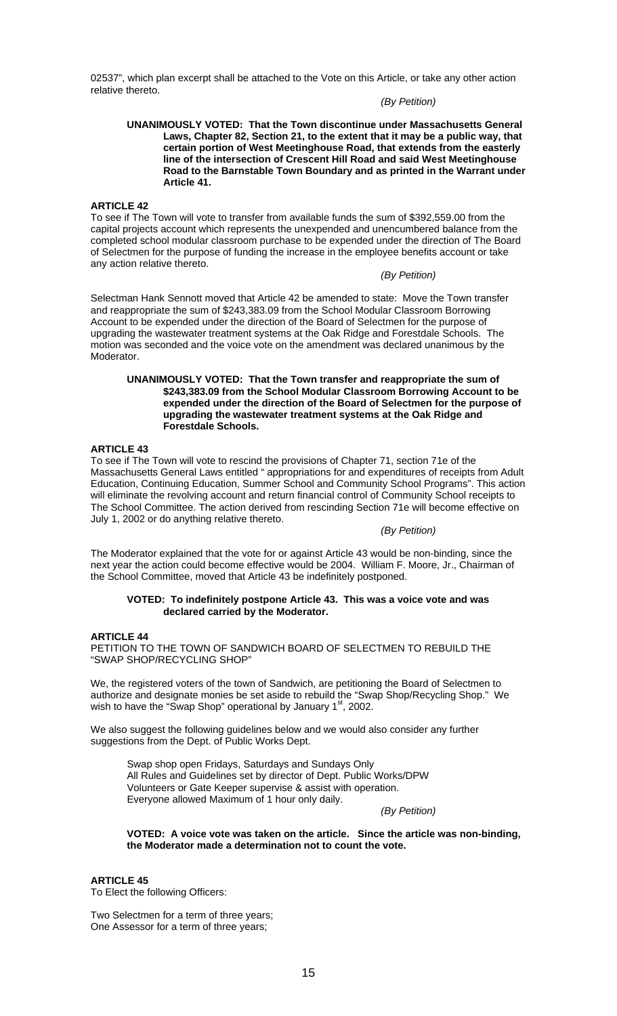02537", which plan excerpt shall be attached to the Vote on this Article, or take any other action relative thereto.

# *(By Petition)*

#### **UNANIMOUSLY VOTED: That the Town discontinue under Massachusetts General Laws, Chapter 82, Section 21, to the extent that it may be a public way, that certain portion of West Meetinghouse Road, that extends from the easterly line of the intersection of Crescent Hill Road and said West Meetinghouse Road to the Barnstable Town Boundary and as printed in the Warrant under Article 41.**

### **ARTICLE 42**

To see if The Town will vote to transfer from available funds the sum of \$392,559.00 from the capital projects account which represents the unexpended and unencumbered balance from the completed school modular classroom purchase to be expended under the direction of The Board of Selectmen for the purpose of funding the increase in the employee benefits account or take any action relative thereto.

### *(By Petition)*

Selectman Hank Sennott moved that Article 42 be amended to state: Move the Town transfer and reappropriate the sum of \$243,383.09 from the School Modular Classroom Borrowing Account to be expended under the direction of the Board of Selectmen for the purpose of upgrading the wastewater treatment systems at the Oak Ridge and Forestdale Schools. The motion was seconded and the voice vote on the amendment was declared unanimous by the Moderator.

#### **UNANIMOUSLY VOTED: That the Town transfer and reappropriate the sum of \$243,383.09 from the School Modular Classroom Borrowing Account to be expended under the direction of the Board of Selectmen for the purpose of upgrading the wastewater treatment systems at the Oak Ridge and Forestdale Schools.**

# **ARTICLE 43**

To see if The Town will vote to rescind the provisions of Chapter 71, section 71e of the Massachusetts General Laws entitled " appropriations for and expenditures of receipts from Adult Education, Continuing Education, Summer School and Community School Programs". This action will eliminate the revolving account and return financial control of Community School receipts to The School Committee. The action derived from rescinding Section 71e will become effective on July 1, 2002 or do anything relative thereto.

*(By Petition)* 

The Moderator explained that the vote for or against Article 43 would be non-binding, since the next year the action could become effective would be 2004. William F. Moore, Jr., Chairman of the School Committee, moved that Article 43 be indefinitely postponed.

# **VOTED: To indefinitely postpone Article 43. This was a voice vote and was declared carried by the Moderator.**

# **ARTICLE 44**

PETITION TO THE TOWN OF SANDWICH BOARD OF SELECTMEN TO REBUILD THE "SWAP SHOP/RECYCLING SHOP"

We, the registered voters of the town of Sandwich, are petitioning the Board of Selectmen to authorize and designate monies be set aside to rebuild the "Swap Shop/Recycling Shop." We wish to have the "Swap Shop" operational by January  $1<sup>st</sup>$ , 2002.

We also suggest the following guidelines below and we would also consider any further suggestions from the Dept. of Public Works Dept.

 Swap shop open Fridays, Saturdays and Sundays Only All Rules and Guidelines set by director of Dept. Public Works/DPW Volunteers or Gate Keeper supervise & assist with operation. Everyone allowed Maximum of 1 hour only daily.

*(By Petition)* 

**VOTED: A voice vote was taken on the article. Since the article was non-binding, the Moderator made a determination not to count the vote.** 

### **ARTICLE 45**

To Elect the following Officers:

Two Selectmen for a term of three years; One Assessor for a term of three years;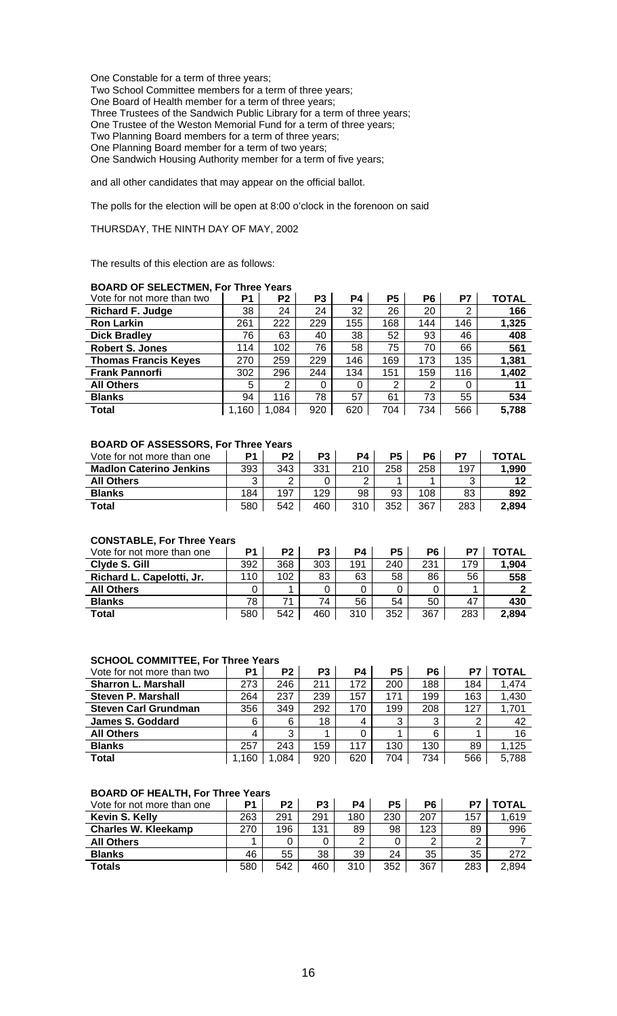One Constable for a term of three years; Two School Committee members for a term of three years; One Board of Health member for a term of three years; Three Trustees of the Sandwich Public Library for a term of three years; One Trustee of the Weston Memorial Fund for a term of three years; Two Planning Board members for a term of three years; One Planning Board member for a term of two years; One Sandwich Housing Authority member for a term of five years;

and all other candidates that may appear on the official ballot.

The polls for the election will be open at 8:00 o'clock in the forenoon on said

# THURSDAY, THE NINTH DAY OF MAY, 2002

The results of this election are as follows:

# **BOARD OF SELECTMEN, For Three Years**

| Vote for not more than two  | P <sub>1</sub> | P <sub>2</sub> | P <sub>3</sub> | P4  | <b>P5</b> | P6  | P7  | <b>TOTAL</b> |
|-----------------------------|----------------|----------------|----------------|-----|-----------|-----|-----|--------------|
| <b>Richard F. Judge</b>     | 38             | 24             | 24             | 32  | 26        | 20  | 2   | 166          |
| <b>Ron Larkin</b>           | 261            | 222            | 229            | 155 | 168       | 144 | 146 | 1,325        |
| <b>Dick Bradley</b>         | 76             | 63             | 40             | 38  | 52        | 93  | 46  | 408          |
| <b>Robert S. Jones</b>      | 114            | 102            | 76             | 58  | 75        | 70  | 66  | 561          |
| <b>Thomas Francis Keyes</b> | 270            | 259            | 229            | 146 | 169       | 173 | 135 | 1,381        |
| <b>Frank Pannorfi</b>       | 302            | 296            | 244            | 134 | 151       | 159 | 116 | 1,402        |
| <b>All Others</b>           | 5              | 2              | 0              |     | 2         | 2   | 0   | 11           |
| <b>Blanks</b>               | 94             | 116            | 78             | 57  | 61        | 73  | 55  | 534          |
| <b>Total</b>                | 1,160          | 1,084          | 920            | 620 | 704       | 734 | 566 | 5,788        |

## **BOARD OF ASSESSORS, For Three Years**

| Vote for not more than one     | P1     | P2  | Р3  | P4  | P <sub>5</sub> | P6  | D7  | <b>TOTAL</b> |
|--------------------------------|--------|-----|-----|-----|----------------|-----|-----|--------------|
| <b>Madlon Caterino Jenkins</b> | 393    | 343 | 331 | 210 | 258            | 258 | 197 | 1,990        |
| <b>All Others</b>              | ົ<br>J | ◠   |     | ⌒   |                |     | ົ   |              |
| <b>Blanks</b>                  | 184    | 197 | 129 | 98  | 93             | 108 | 83  | 892          |
| Total                          | 580    | 542 | 460 | 310 | 352            | 367 | 283 | 2,894        |

## **CONSTABLE, For Three Years**

| _____________________________ |     |                |     |     |     |     |     |              |
|-------------------------------|-----|----------------|-----|-----|-----|-----|-----|--------------|
| Vote for not more than one    | P1  | P <sub>2</sub> | P3  | P4  | P5  | P6  | P7  | <b>TOTAL</b> |
| Clyde S. Gill                 | 392 | 368            | 303 | 191 | 240 | 231 | 179 | 1,904        |
| Richard L. Capelotti, Jr.     | 110 | 102            | 83  | 63  | 58  | 86  | 56  | 558          |
| <b>All Others</b>             |     |                |     |     |     |     |     |              |
| <b>Blanks</b>                 | 78  | 71             | 74  | 56  | 54  | 50  | 47  | 430          |
| <b>Total</b>                  | 580 | 542            | 460 | 310 | 352 | 367 | 283 | 2,894        |

# **SCHOOL COMMITTEE, For Three Years**

| Vote for not more than two  | P1    | P <sub>2</sub> | P3  | P4  | P <sub>5</sub> | P6  | P7  | ΓΟΤΑL |
|-----------------------------|-------|----------------|-----|-----|----------------|-----|-----|-------|
| <b>Sharron L. Marshall</b>  | 273   | 246            | 211 | 172 | 200            | 188 | 184 | 1.474 |
| <b>Steven P. Marshall</b>   | 264   | 237            | 239 | 157 | 171            | 199 | 163 | 1,430 |
| <b>Steven Carl Grundman</b> | 356   | 349            | 292 | 170 | 199            | 208 | 127 | 1,701 |
| James S. Goddard            | 6     | 6              | 18  | 4   | 3              | 3   | 2   | 42    |
| <b>All Others</b>           | 4     | 3              |     |     |                | 6   |     | 16    |
| <b>Blanks</b>               | 257   | 243            | 159 | 117 | 130            | 130 | 89  | 1,125 |
| <b>Total</b>                | 1,160 | 1.084          | 920 | 620 | 704            | 734 | 566 | 5,788 |

# **BOARD OF HEALTH, For Three Years**

| Vote for not more than one | P <sub>1</sub> | P2  | P3  | P4  | P <sub>5</sub> | P6  | D7  | <b>TOTAL</b> |
|----------------------------|----------------|-----|-----|-----|----------------|-----|-----|--------------|
| Kevin S. Kelly             | 263            | 291 | 291 | 180 | 230            | 207 | 157 | 1,619        |
| <b>Charles W. Kleekamp</b> | 270            | 196 | 131 | 89  | 98             | 123 | 89  | 996          |
| <b>All Others</b>          |                |     |     | ◠   |                | റ   | ົ   |              |
| <b>Blanks</b>              | 46             | 55  | 38  | 39  | 24             | 35  | 35  | 272          |
| <b>Totals</b>              | 580            | 542 | 460 | 310 | 352            | 367 | 283 | 2,894        |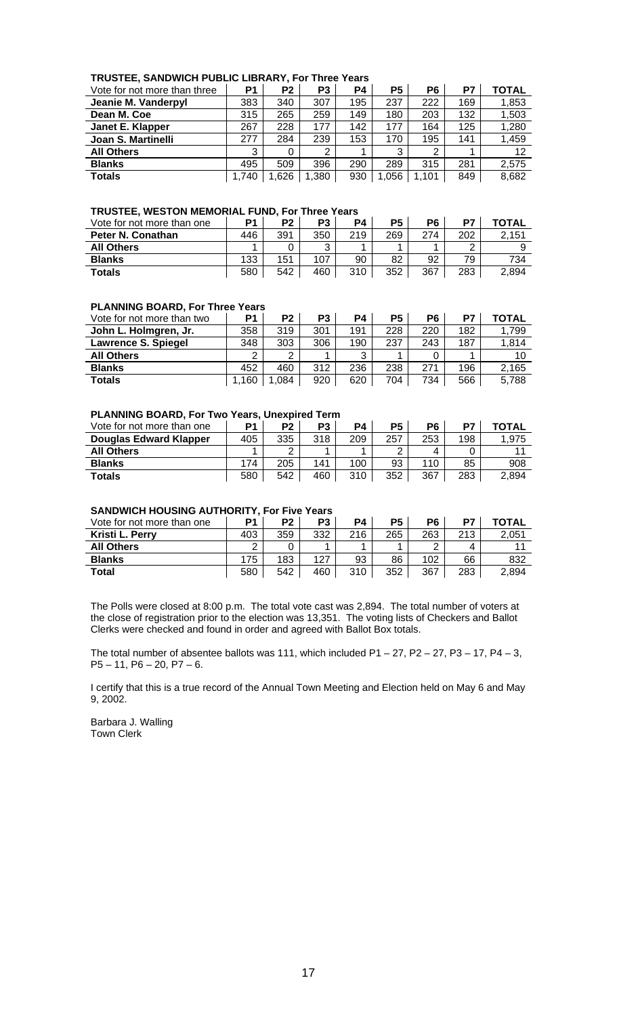| TRUSTEE, SANDWICH PUBLIC LIBRARY, For Three Years |  |
|---------------------------------------------------|--|
|---------------------------------------------------|--|

| Vote for not more than three | P <sub>1</sub> | P2   | P3    | P4  | P5   | P <sub>6</sub> | P7  | TOTAL |
|------------------------------|----------------|------|-------|-----|------|----------------|-----|-------|
| Jeanie M. Vanderpyl          | 383            | 340  | 307   | 195 | 237  | 222            | 169 | 1,853 |
| Dean M. Coe                  | 315            | 265  | 259   | 149 | 180  | 203            | 132 | 1,503 |
| Janet E. Klapper             | 267            | 228  | 177   | 142 | 177  | 164            | 125 | 1,280 |
| Joan S. Martinelli           | 277            | 284  | 239   | 153 | 170  | 195            | 141 | 1,459 |
| <b>All Others</b>            | 3              | 0    | 2     |     | 3    | ົ              |     | 12    |
| <b>Blanks</b>                | 495            | 509  | 396   | 290 | 289  | 315            | 281 | 2,575 |
| <b>Totals</b>                | 1,740          | .626 | 1,380 | 930 | .056 | 1,101          | 849 | 8,682 |

#### **TRUSTEE, WESTON MEMORIAL FUND, For Three Years**

| Vote for not more than one | P <sub>1</sub> | P2  | P3     | P4  | <b>P5</b> | P6  | D7         | <b>TOTAL</b> |
|----------------------------|----------------|-----|--------|-----|-----------|-----|------------|--------------|
| Peter N. Conathan          | 446            | 391 | 350    | 219 | 269       | 274 | 202        | 2,151        |
| <b>All Others</b>          |                |     | າ<br>J |     |           |     | $\sqrt{2}$ |              |
| <b>Blanks</b>              | 133            | 151 | 107    | 90  | 82        | 92  | 79         | 734          |
| <b>Totals</b>              | 580            | 542 | 460    | 310 | 352       | 367 | 283        | 2,894        |

# **PLANNING BOARD, For Three Years**

| Vote for not more than two | D <sub>1</sub> | P <sub>2</sub> | P3  | P4  | P5  | P6  | P7  | <b>TOTAL</b> |
|----------------------------|----------------|----------------|-----|-----|-----|-----|-----|--------------|
| John L. Holmgren, Jr.      | 358            | 319            | 301 | 191 | 228 | 220 | 182 | 1,799        |
| Lawrence S. Spiegel        | 348            | 303            | 306 | 190 | 237 | 243 | 187 | 1,814        |
| <b>All Others</b>          | C              | ⌒              |     | ົ   |     |     |     | 10           |
| <b>Blanks</b>              | 452            | 460            | 312 | 236 | 238 | 271 | 196 | 2,165        |
| <b>Totals</b>              | 160            | .084           | 920 | 620 | 704 | 734 | 566 | 5,788        |

# **PLANNING BOARD, For Two Years, Unexpired Term**

| Vote for not more than one    | P <sub>1</sub> | P <sub>2</sub> | P3  | PΔ  | P5  | P6  | D7  | <b>TOTAL</b> |
|-------------------------------|----------------|----------------|-----|-----|-----|-----|-----|--------------|
| <b>Douglas Edward Klapper</b> | 405            | 335            | 318 | 209 | 257 | 253 | 198 | 1.975        |
| <b>All Others</b>             |                | ົ              |     |     | ◠   |     |     |              |
| <b>Blanks</b>                 | 174            | 205            | 141 | 100 | 93  | 110 | 85  | 908          |
| <b>Totals</b>                 | 580            | 542            | 460 | 310 | 352 | 367 | 283 | 2.894        |

# **SANDWICH HOUSING AUTHORITY, For Five Years**

| Vote for not more than one | P <sub>1</sub> | P <sub>2</sub> | P <sub>3</sub> | P <sub>4</sub> | P5  | P6     | D7  | TOTAL |
|----------------------------|----------------|----------------|----------------|----------------|-----|--------|-----|-------|
| Kristi L. Perry            | 403            | 359            | 332            | 216            | 265 | 263    | 213 | 2.051 |
| <b>All Others</b>          | ⌒              |                |                |                |     | $\sim$ | 4   |       |
| <b>Blanks</b>              | 175            | 183            | 127            | 93             | 86  | 102    | 66  | 832   |
| <b>Total</b>               | 580            | 542            | 460            | 310            | 352 | 367    | 283 | 2.894 |

The Polls were closed at 8:00 p.m. The total vote cast was 2,894. The total number of voters at the close of registration prior to the election was 13,351. The voting lists of Checkers and Ballot Clerks were checked and found in order and agreed with Ballot Box totals.

The total number of absentee ballots was 111, which included  $P1 - 27$ ,  $P2 - 27$ ,  $P3 - 17$ ,  $P4 - 3$ , P5 – 11, P6 – 20, P7 – 6.

I certify that this is a true record of the Annual Town Meeting and Election held on May 6 and May 9, 2002.

Barbara J. Walling Town Clerk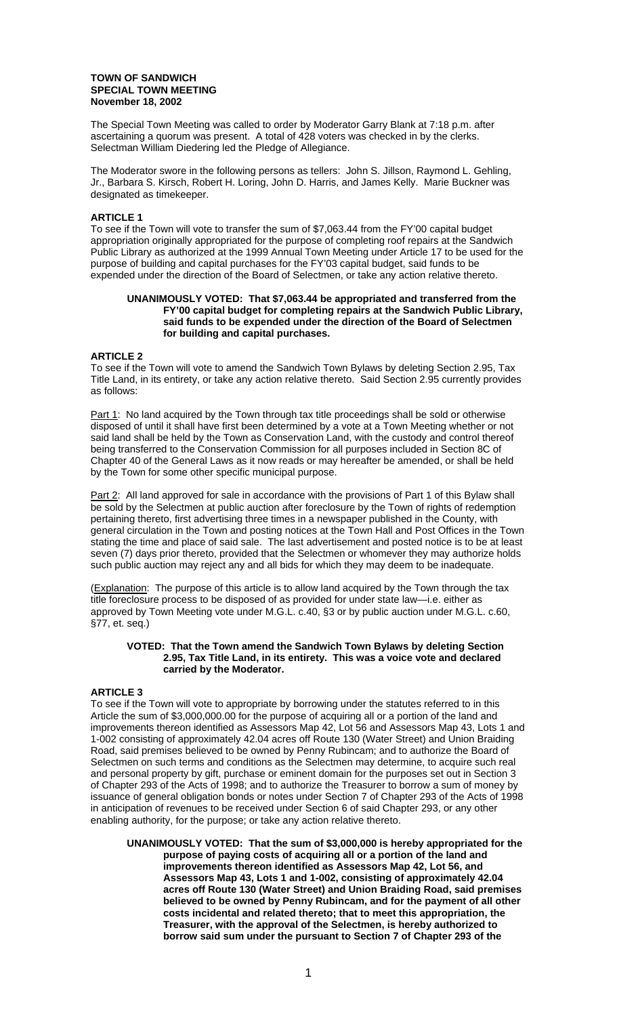### **TOWN OF SANDWICH SPECIAL TOWN MEETING November 18, 2002**

The Special Town Meeting was called to order by Moderator Garry Blank at 7:18 p.m. after ascertaining a quorum was present. A total of 428 voters was checked in by the clerks. Selectman William Diedering led the Pledge of Allegiance.

The Moderator swore in the following persons as tellers: John S. Jillson, Raymond L. Gehling, Jr., Barbara S. Kirsch, Robert H. Loring, John D. Harris, and James Kelly. Marie Buckner was designated as timekeeper.

# **ARTICLE 1**

To see if the Town will vote to transfer the sum of \$7,063.44 from the FY'00 capital budget appropriation originally appropriated for the purpose of completing roof repairs at the Sandwich Public Library as authorized at the 1999 Annual Town Meeting under Article 17 to be used for the purpose of building and capital purchases for the FY'03 capital budget, said funds to be expended under the direction of the Board of Selectmen, or take any action relative thereto.

### **UNANIMOUSLY VOTED: That \$7,063.44 be appropriated and transferred from the FY'00 capital budget for completing repairs at the Sandwich Public Library, said funds to be expended under the direction of the Board of Selectmen for building and capital purchases.**

### **ARTICLE 2**

To see if the Town will vote to amend the Sandwich Town Bylaws by deleting Section 2.95, Tax Title Land, in its entirety, or take any action relative thereto. Said Section 2.95 currently provides as follows:

Part 1: No land acquired by the Town through tax title proceedings shall be sold or otherwise disposed of until it shall have first been determined by a vote at a Town Meeting whether or not said land shall be held by the Town as Conservation Land, with the custody and control thereof being transferred to the Conservation Commission for all purposes included in Section 8C of Chapter 40 of the General Laws as it now reads or may hereafter be amended, or shall be held by the Town for some other specific municipal purpose.

Part 2: All land approved for sale in accordance with the provisions of Part 1 of this Bylaw shall be sold by the Selectmen at public auction after foreclosure by the Town of rights of redemption pertaining thereto, first advertising three times in a newspaper published in the County, with general circulation in the Town and posting notices at the Town Hall and Post Offices in the Town stating the time and place of said sale. The last advertisement and posted notice is to be at least seven (7) days prior thereto, provided that the Selectmen or whomever they may authorize holds such public auction may reject any and all bids for which they may deem to be inadequate.

(Explanation: The purpose of this article is to allow land acquired by the Town through the tax title foreclosure process to be disposed of as provided for under state law—i.e. either as approved by Town Meeting vote under M.G.L. c.40, §3 or by public auction under M.G.L. c.60, §77, et. seq.)

#### **VOTED: That the Town amend the Sandwich Town Bylaws by deleting Section 2.95, Tax Title Land, in its entirety. This was a voice vote and declared carried by the Moderator.**

## **ARTICLE 3**

To see if the Town will vote to appropriate by borrowing under the statutes referred to in this Article the sum of \$3,000,000.00 for the purpose of acquiring all or a portion of the land and improvements thereon identified as Assessors Map 42, Lot 56 and Assessors Map 43, Lots 1 and 1-002 consisting of approximately 42.04 acres off Route 130 (Water Street) and Union Braiding Road, said premises believed to be owned by Penny Rubincam; and to authorize the Board of Selectmen on such terms and conditions as the Selectmen may determine, to acquire such real and personal property by gift, purchase or eminent domain for the purposes set out in Section 3 of Chapter 293 of the Acts of 1998; and to authorize the Treasurer to borrow a sum of money by issuance of general obligation bonds or notes under Section 7 of Chapter 293 of the Acts of 1998 in anticipation of revenues to be received under Section 6 of said Chapter 293, or any other enabling authority, for the purpose; or take any action relative thereto.

**UNANIMOUSLY VOTED: That the sum of \$3,000,000 is hereby appropriated for the purpose of paying costs of acquiring all or a portion of the land and improvements thereon identified as Assessors Map 42, Lot 56, and Assessors Map 43, Lots 1 and 1-002, consisting of approximately 42.04 acres off Route 130 (Water Street) and Union Braiding Road, said premises believed to be owned by Penny Rubincam, and for the payment of all other costs incidental and related thereto; that to meet this appropriation, the Treasurer, with the approval of the Selectmen, is hereby authorized to borrow said sum under the pursuant to Section 7 of Chapter 293 of the**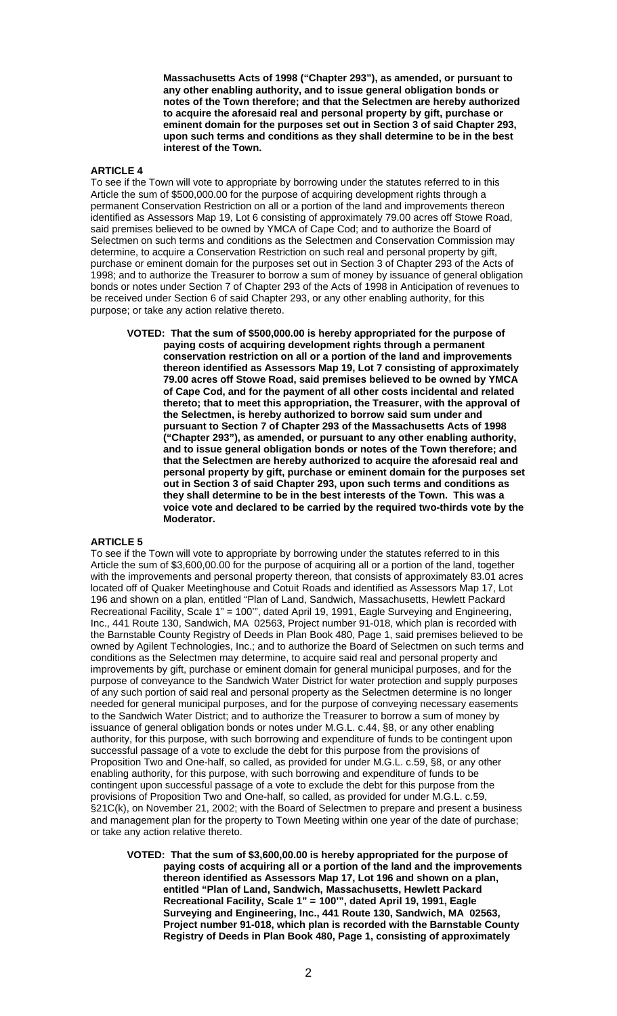**Massachusetts Acts of 1998 ("Chapter 293"), as amended, or pursuant to any other enabling authority, and to issue general obligation bonds or notes of the Town therefore; and that the Selectmen are hereby authorized to acquire the aforesaid real and personal property by gift, purchase or eminent domain for the purposes set out in Section 3 of said Chapter 293, upon such terms and conditions as they shall determine to be in the best interest of the Town.** 

### **ARTICLE 4**

To see if the Town will vote to appropriate by borrowing under the statutes referred to in this Article the sum of \$500,000.00 for the purpose of acquiring development rights through a permanent Conservation Restriction on all or a portion of the land and improvements thereon identified as Assessors Map 19, Lot 6 consisting of approximately 79.00 acres off Stowe Road, said premises believed to be owned by YMCA of Cape Cod; and to authorize the Board of Selectmen on such terms and conditions as the Selectmen and Conservation Commission may determine, to acquire a Conservation Restriction on such real and personal property by gift, purchase or eminent domain for the purposes set out in Section 3 of Chapter 293 of the Acts of 1998; and to authorize the Treasurer to borrow a sum of money by issuance of general obligation bonds or notes under Section 7 of Chapter 293 of the Acts of 1998 in Anticipation of revenues to be received under Section 6 of said Chapter 293, or any other enabling authority, for this purpose; or take any action relative thereto.

**VOTED: That the sum of \$500,000.00 is hereby appropriated for the purpose of paying costs of acquiring development rights through a permanent conservation restriction on all or a portion of the land and improvements thereon identified as Assessors Map 19, Lot 7 consisting of approximately 79.00 acres off Stowe Road, said premises believed to be owned by YMCA of Cape Cod, and for the payment of all other costs incidental and related thereto; that to meet this appropriation, the Treasurer, with the approval of the Selectmen, is hereby authorized to borrow said sum under and pursuant to Section 7 of Chapter 293 of the Massachusetts Acts of 1998 ("Chapter 293"), as amended, or pursuant to any other enabling authority, and to issue general obligation bonds or notes of the Town therefore; and that the Selectmen are hereby authorized to acquire the aforesaid real and personal property by gift, purchase or eminent domain for the purposes set out in Section 3 of said Chapter 293, upon such terms and conditions as they shall determine to be in the best interests of the Town. This was a voice vote and declared to be carried by the required two-thirds vote by the Moderator.** 

## **ARTICLE 5**

To see if the Town will vote to appropriate by borrowing under the statutes referred to in this Article the sum of \$3,600,00.00 for the purpose of acquiring all or a portion of the land, together with the improvements and personal property thereon, that consists of approximately 83.01 acres located off of Quaker Meetinghouse and Cotuit Roads and identified as Assessors Map 17, Lot 196 and shown on a plan, entitled "Plan of Land, Sandwich, Massachusetts, Hewlett Packard Recreational Facility, Scale 1" = 100'", dated April 19, 1991, Eagle Surveying and Engineering, Inc., 441 Route 130, Sandwich, MA 02563, Project number 91-018, which plan is recorded with the Barnstable County Registry of Deeds in Plan Book 480, Page 1, said premises believed to be owned by Agilent Technologies, Inc.; and to authorize the Board of Selectmen on such terms and conditions as the Selectmen may determine, to acquire said real and personal property and improvements by gift, purchase or eminent domain for general municipal purposes, and for the purpose of conveyance to the Sandwich Water District for water protection and supply purposes of any such portion of said real and personal property as the Selectmen determine is no longer needed for general municipal purposes, and for the purpose of conveying necessary easements to the Sandwich Water District; and to authorize the Treasurer to borrow a sum of money by issuance of general obligation bonds or notes under M.G.L. c.44, §8, or any other enabling authority, for this purpose, with such borrowing and expenditure of funds to be contingent upon successful passage of a vote to exclude the debt for this purpose from the provisions of Proposition Two and One-half, so called, as provided for under M.G.L. c.59, §8, or any other enabling authority, for this purpose, with such borrowing and expenditure of funds to be contingent upon successful passage of a vote to exclude the debt for this purpose from the provisions of Proposition Two and One-half, so called, as provided for under M.G.L. c.59, §21C(k), on November 21, 2002; with the Board of Selectmen to prepare and present a business and management plan for the property to Town Meeting within one year of the date of purchase; or take any action relative thereto.

**VOTED: That the sum of \$3,600,00.00 is hereby appropriated for the purpose of paying costs of acquiring all or a portion of the land and the improvements thereon identified as Assessors Map 17, Lot 196 and shown on a plan, entitled "Plan of Land, Sandwich, Massachusetts, Hewlett Packard Recreational Facility, Scale 1" = 100'", dated April 19, 1991, Eagle Surveying and Engineering, Inc., 441 Route 130, Sandwich, MA 02563, Project number 91-018, which plan is recorded with the Barnstable County Registry of Deeds in Plan Book 480, Page 1, consisting of approximately**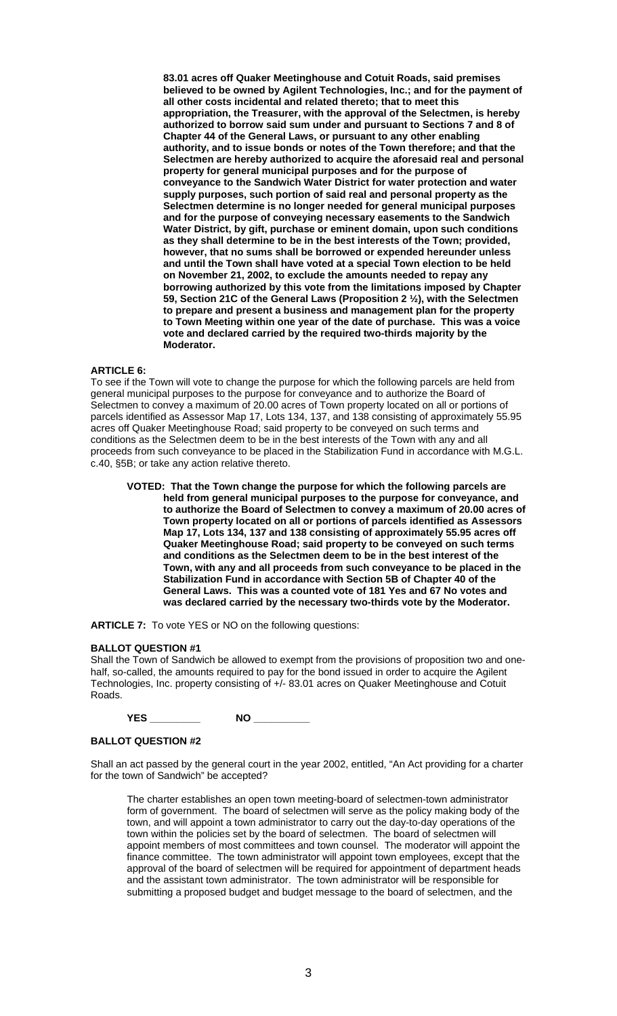**83.01 acres off Quaker Meetinghouse and Cotuit Roads, said premises believed to be owned by Agilent Technologies, Inc.; and for the payment of all other costs incidental and related thereto; that to meet this appropriation, the Treasurer, with the approval of the Selectmen, is hereby authorized to borrow said sum under and pursuant to Sections 7 and 8 of Chapter 44 of the General Laws, or pursuant to any other enabling authority, and to issue bonds or notes of the Town therefore; and that the Selectmen are hereby authorized to acquire the aforesaid real and personal property for general municipal purposes and for the purpose of conveyance to the Sandwich Water District for water protection and water supply purposes, such portion of said real and personal property as the Selectmen determine is no longer needed for general municipal purposes and for the purpose of conveying necessary easements to the Sandwich Water District, by gift, purchase or eminent domain, upon such conditions as they shall determine to be in the best interests of the Town; provided, however, that no sums shall be borrowed or expended hereunder unless and until the Town shall have voted at a special Town election to be held on November 21, 2002, to exclude the amounts needed to repay any borrowing authorized by this vote from the limitations imposed by Chapter 59, Section 21C of the General Laws (Proposition 2 ½), with the Selectmen to prepare and present a business and management plan for the property to Town Meeting within one year of the date of purchase. This was a voice vote and declared carried by the required two-thirds majority by the Moderator.** 

# **ARTICLE 6:**

To see if the Town will vote to change the purpose for which the following parcels are held from general municipal purposes to the purpose for conveyance and to authorize the Board of Selectmen to convey a maximum of 20.00 acres of Town property located on all or portions of parcels identified as Assessor Map 17, Lots 134, 137, and 138 consisting of approximately 55.95 acres off Quaker Meetinghouse Road; said property to be conveyed on such terms and conditions as the Selectmen deem to be in the best interests of the Town with any and all proceeds from such conveyance to be placed in the Stabilization Fund in accordance with M.G.L. c.40, §5B; or take any action relative thereto.

**VOTED: That the Town change the purpose for which the following parcels are held from general municipal purposes to the purpose for conveyance, and to authorize the Board of Selectmen to convey a maximum of 20.00 acres of Town property located on all or portions of parcels identified as Assessors Map 17, Lots 134, 137 and 138 consisting of approximately 55.95 acres off Quaker Meetinghouse Road; said property to be conveyed on such terms and conditions as the Selectmen deem to be in the best interest of the Town, with any and all proceeds from such conveyance to be placed in the Stabilization Fund in accordance with Section 5B of Chapter 40 of the General Laws. This was a counted vote of 181 Yes and 67 No votes and was declared carried by the necessary two-thirds vote by the Moderator.** 

**ARTICLE 7:** To vote YES or NO on the following questions:

### **BALLOT QUESTION #1**

Shall the Town of Sandwich be allowed to exempt from the provisions of proposition two and onehalf, so-called, the amounts required to pay for the bond issued in order to acquire the Agilent Technologies, Inc. property consisting of +/- 83.01 acres on Quaker Meetinghouse and Cotuit Roads.

| .<br>. — |
|----------|
|----------|

## **BALLOT QUESTION #2**

Shall an act passed by the general court in the year 2002, entitled, "An Act providing for a charter for the town of Sandwich" be accepted?

 The charter establishes an open town meeting-board of selectmen-town administrator form of government. The board of selectmen will serve as the policy making body of the town, and will appoint a town administrator to carry out the day-to-day operations of the town within the policies set by the board of selectmen. The board of selectmen will appoint members of most committees and town counsel. The moderator will appoint the finance committee. The town administrator will appoint town employees, except that the approval of the board of selectmen will be required for appointment of department heads and the assistant town administrator. The town administrator will be responsible for submitting a proposed budget and budget message to the board of selectmen, and the